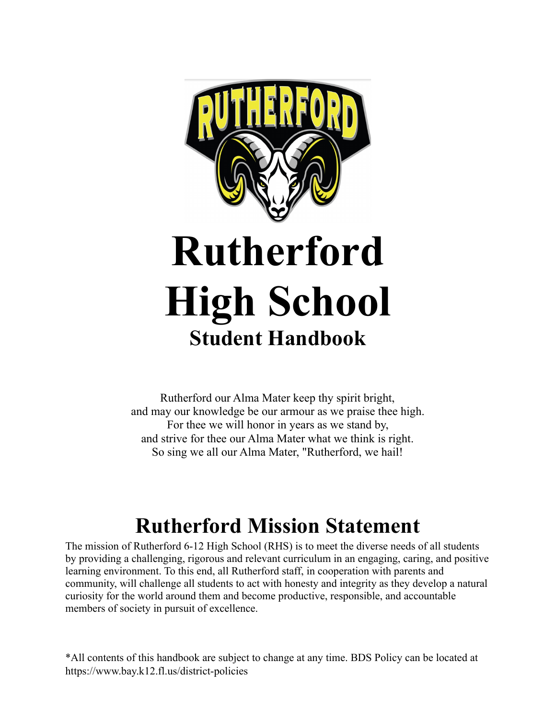

Rutherford our Alma Mater keep thy spirit bright, and may our knowledge be our armour as we praise thee high. For thee we will honor in years as we stand by, and strive for thee our Alma Mater what we think is right. So sing we all our Alma Mater, "Rutherford, we hail!

# **Rutherford Mission Statement**

<span id="page-0-0"></span>The mission of Rutherford 6-12 High School (RHS) is to meet the diverse needs of all students by providing a challenging, rigorous and relevant curriculum in an engaging, caring, and positive learning environment. To this end, all Rutherford staff, in cooperation with parents and community, will challenge all students to act with honesty and integrity as they develop a natural curiosity for the world around them and become productive, responsible, and accountable members of society in pursuit of excellence.

\*All contents of this handbook are subject to change at any time. BDS Policy can be located at https://www.bay.k12.fl.us/district-policies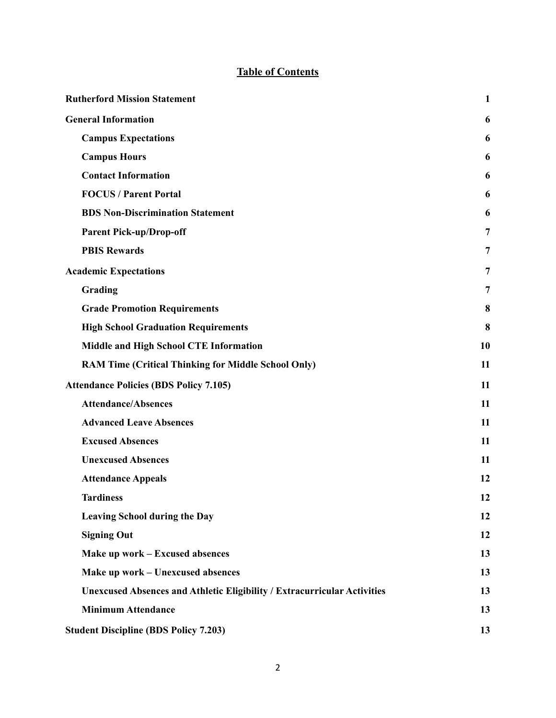## **Table of Contents**

| <b>Rutherford Mission Statement</b>                                             | $\mathbf{1}$ |
|---------------------------------------------------------------------------------|--------------|
| <b>General Information</b>                                                      | 6            |
| <b>Campus Expectations</b>                                                      | 6            |
| <b>Campus Hours</b>                                                             | 6            |
| <b>Contact Information</b>                                                      | 6            |
| <b>FOCUS / Parent Portal</b>                                                    | 6            |
| <b>BDS Non-Discrimination Statement</b>                                         | 6            |
| <b>Parent Pick-up/Drop-off</b>                                                  | 7            |
| <b>PBIS Rewards</b>                                                             | 7            |
| <b>Academic Expectations</b>                                                    | 7            |
| Grading                                                                         | 7            |
| <b>Grade Promotion Requirements</b>                                             | 8            |
| <b>High School Graduation Requirements</b>                                      | 8            |
| Middle and High School CTE Information                                          | 10           |
| <b>RAM Time (Critical Thinking for Middle School Only)</b>                      | 11           |
| <b>Attendance Policies (BDS Policy 7.105)</b>                                   | 11           |
| <b>Attendance/Absences</b>                                                      | 11           |
| <b>Advanced Leave Absences</b>                                                  | 11           |
| <b>Excused Absences</b>                                                         | 11           |
| <b>Unexcused Absences</b>                                                       | 11           |
| <b>Attendance Appeals</b>                                                       | 12           |
| <b>Tardiness</b>                                                                | 12           |
| <b>Leaving School during the Day</b>                                            | 12           |
| <b>Signing Out</b>                                                              | 12           |
| Make up work – Excused absences                                                 | 13           |
| Make up work – Unexcused absences                                               | 13           |
| <b>Unexcused Absences and Athletic Eligibility / Extracurricular Activities</b> | 13           |
| <b>Minimum Attendance</b>                                                       | 13           |
| <b>Student Discipline (BDS Policy 7.203)</b>                                    | 13           |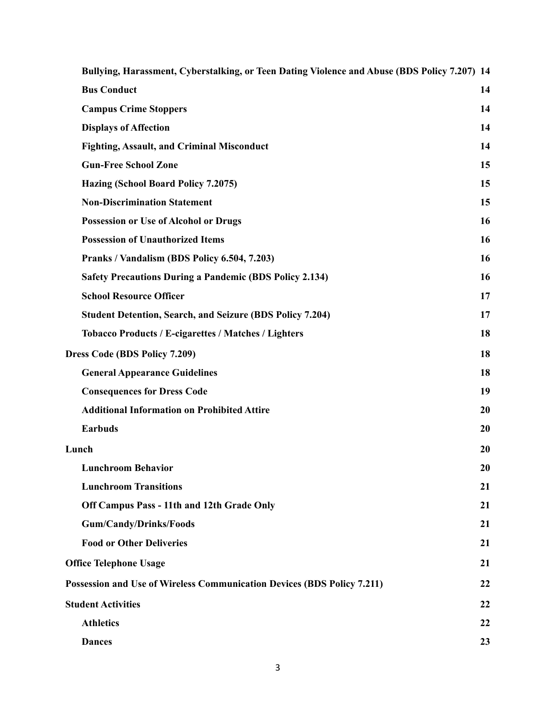| Bullying, Harassment, Cyberstalking, or Teen Dating Violence and Abuse (BDS Policy 7.207) 14 |    |
|----------------------------------------------------------------------------------------------|----|
| <b>Bus Conduct</b>                                                                           | 14 |
| <b>Campus Crime Stoppers</b>                                                                 | 14 |
| <b>Displays of Affection</b>                                                                 | 14 |
| <b>Fighting, Assault, and Criminal Misconduct</b>                                            | 14 |
| <b>Gun-Free School Zone</b>                                                                  | 15 |
| Hazing (School Board Policy 7.2075)                                                          | 15 |
| <b>Non-Discrimination Statement</b>                                                          | 15 |
| <b>Possession or Use of Alcohol or Drugs</b>                                                 | 16 |
| <b>Possession of Unauthorized Items</b>                                                      | 16 |
| Pranks / Vandalism (BDS Policy 6.504, 7.203)                                                 | 16 |
| <b>Safety Precautions During a Pandemic (BDS Policy 2.134)</b>                               | 16 |
| <b>School Resource Officer</b>                                                               | 17 |
| <b>Student Detention, Search, and Seizure (BDS Policy 7.204)</b>                             | 17 |
| Tobacco Products / E-cigarettes / Matches / Lighters                                         | 18 |
| Dress Code (BDS Policy 7.209)                                                                | 18 |
| <b>General Appearance Guidelines</b>                                                         | 18 |
| <b>Consequences for Dress Code</b>                                                           | 19 |
| <b>Additional Information on Prohibited Attire</b>                                           | 20 |
| <b>Earbuds</b>                                                                               | 20 |
| Lunch                                                                                        | 20 |
| <b>Lunchroom Behavior</b>                                                                    | 20 |
| <b>Lunchroom Transitions</b>                                                                 | 21 |
| Off Campus Pass - 11th and 12th Grade Only                                                   | 21 |
| <b>Gum/Candy/Drinks/Foods</b>                                                                | 21 |
| <b>Food or Other Deliveries</b>                                                              | 21 |
| <b>Office Telephone Usage</b>                                                                | 21 |
| Possession and Use of Wireless Communication Devices (BDS Policy 7.211)                      | 22 |
| <b>Student Activities</b>                                                                    | 22 |
| <b>Athletics</b>                                                                             | 22 |
| <b>Dances</b>                                                                                | 23 |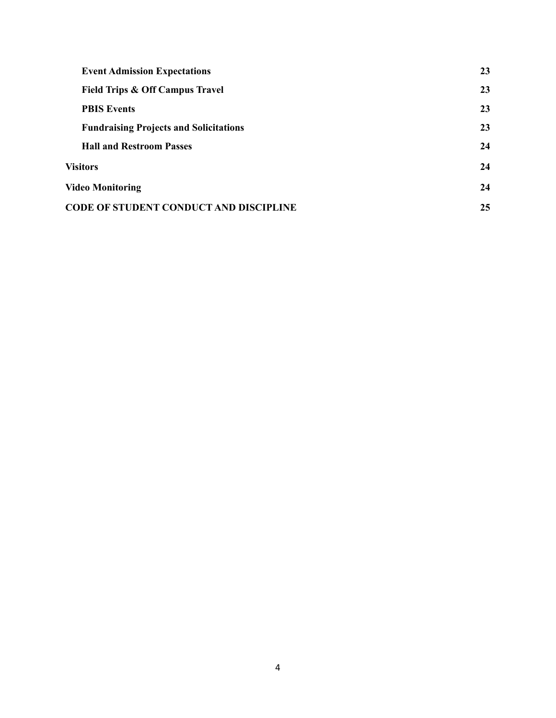| <b>Event Admission Expectations</b>           | 23 |
|-----------------------------------------------|----|
| <b>Field Trips &amp; Off Campus Travel</b>    | 23 |
| <b>PBIS Events</b>                            | 23 |
| <b>Fundraising Projects and Solicitations</b> | 23 |
| <b>Hall and Restroom Passes</b>               | 24 |
| <b>Visitors</b>                               | 24 |
| <b>Video Monitoring</b>                       | 24 |
| <b>CODE OF STUDENT CONDUCT AND DISCIPLINE</b> |    |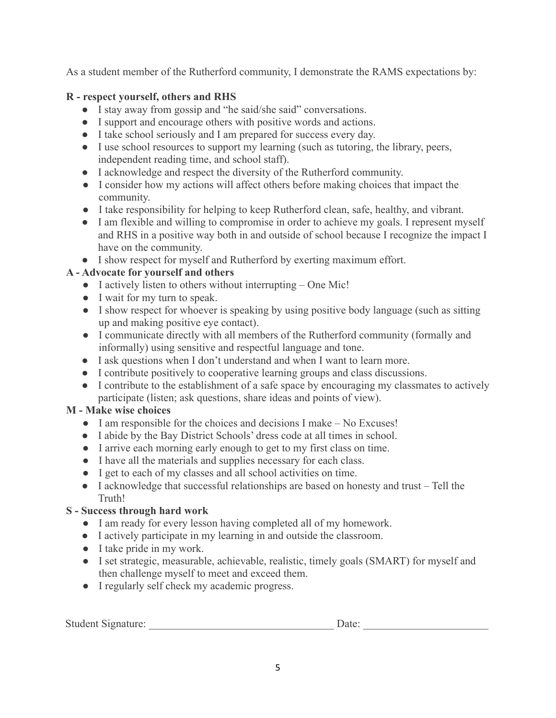As a student member of the Rutherford community, I demonstrate the RAMS expectations by:

## **R - respect yourself, others and RHS**

- I stay away from gossip and "he said/she said" conversations.
- I support and encourage others with positive words and actions.
- I take school seriously and I am prepared for success every day.
- I use school resources to support my learning (such as tutoring, the library, peers, independent reading time, and school staff).
- I acknowledge and respect the diversity of the Rutherford community.
- I consider how my actions will affect others before making choices that impact the community.
- I take responsibility for helping to keep Rutherford clean, safe, healthy, and vibrant.
- I am flexible and willing to compromise in order to achieve my goals. I represent myself and RHS in a positive way both in and outside of school because I recognize the impact I have on the community.
- I show respect for myself and Rutherford by exerting maximum effort.

## **A - Advocate for yourself and others**

- I actively listen to others without interrupting One Mic!
- I wait for my turn to speak.
- I show respect for whoever is speaking by using positive body language (such as sitting up and making positive eye contact).
- I communicate directly with all members of the Rutherford community (formally and informally) using sensitive and respectful language and tone.
- I ask questions when I don't understand and when I want to learn more.
- I contribute positively to cooperative learning groups and class discussions.
- I contribute to the establishment of a safe space by encouraging my classmates to actively participate (listen; ask questions, share ideas and points of view).

## **M - Make wise choices**

- I am responsible for the choices and decisions I make No Excuses!
- I abide by the Bay District Schools' dress code at all times in school.
- I arrive each morning early enough to get to my first class on time.
- I have all the materials and supplies necessary for each class.
- I get to each of my classes and all school activities on time.
- I acknowledge that successful relationships are based on honesty and trust Tell the Truth!

## **S - Success through hard work**

- I am ready for every lesson having completed all of my homework.
- I actively participate in my learning in and outside the classroom.
- I take pride in my work.
- I set strategic, measurable, achievable, realistic, timely goals (SMART) for myself and then challenge myself to meet and exceed them.
- I regularly self check my academic progress.

| Student Signature: |  |
|--------------------|--|
|                    |  |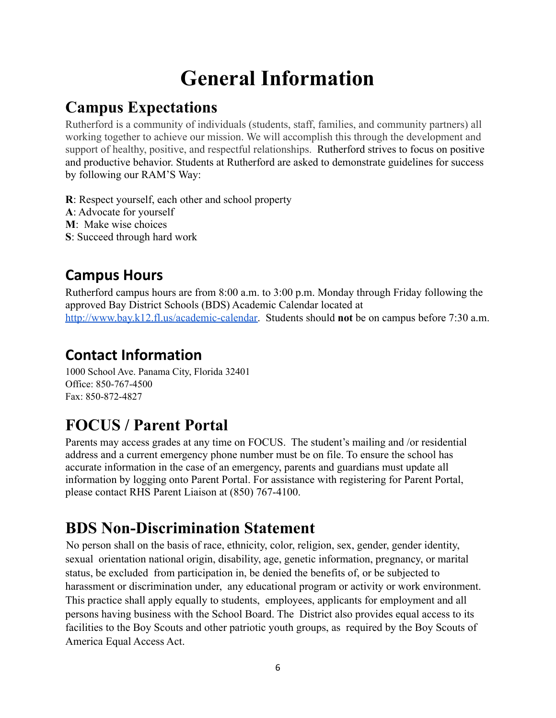# **General Information**

## <span id="page-5-1"></span><span id="page-5-0"></span>**Campus Expectations**

Rutherford is a community of individuals (students, staff, families, and community partners) all working together to achieve our mission. We will accomplish this through the development and support of healthy, positive, and respectful relationships. Rutherford strives to focus on positive and productive behavior. Students at Rutherford are asked to demonstrate guidelines for success by following our RAM'S Way:

**R**: Respect yourself, each other and school property

- **A**: Advocate for yourself
- **M**: Make wise choices
- **S**: Succeed through hard work

## <span id="page-5-2"></span>**Campus Hours**

Rutherford campus hours are from 8:00 a.m. to 3:00 p.m. Monday through Friday following the approved Bay District Schools (BDS) Academic Calendar located at [http://www.bay.k12.fl.us/academic-calendar.](http://www.bay.k12.fl.us/academic-calendar) Students should **not** be on campus before 7:30 a.m.

## <span id="page-5-3"></span>**Contact Information**

1000 School Ave. Panama City, Florida 32401 Office: 850-767-4500 Fax: 850-872-4827

# <span id="page-5-4"></span>**FOCUS / Parent Portal**

Parents may access grades at any time on FOCUS. The student's mailing and /or residential address and a current emergency phone number must be on file. To ensure the school has accurate information in the case of an emergency, parents and guardians must update all information by logging onto Parent Portal. For assistance with registering for Parent Portal, please contact RHS Parent Liaison at (850) 767-4100.

# <span id="page-5-5"></span>**BDS Non-Discrimination Statement**

No person shall on the basis of race, ethnicity, color, religion, sex, gender, gender identity, sexual orientation national origin, disability, age, genetic information, pregnancy, or marital status, be excluded from participation in, be denied the benefits of, or be subjected to harassment or discrimination under, any educational program or activity or work environment. This practice shall apply equally to students, employees, applicants for employment and all persons having business with the School Board. The District also provides equal access to its facilities to the Boy Scouts and other patriotic youth groups, as required by the Boy Scouts of America Equal Access Act.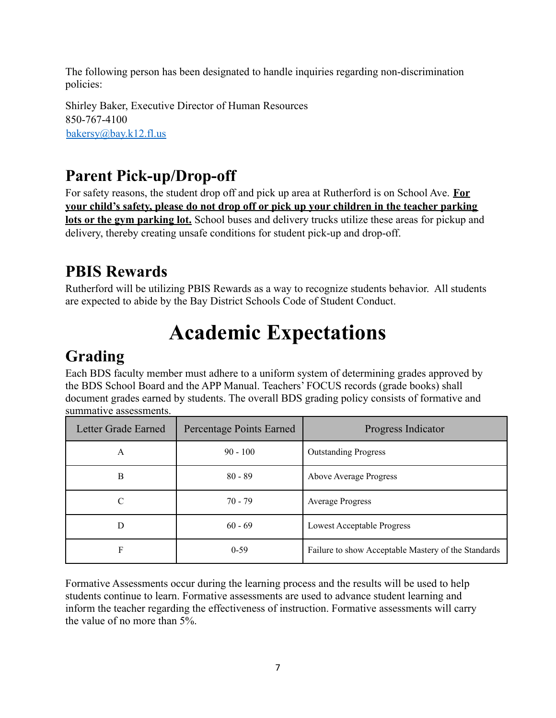The following person has been designated to handle inquiries regarding non-discrimination policies:

Shirley Baker, Executive Director of Human Resources 850-767-4100 bakersy@bay.k12.fl.us

## <span id="page-6-0"></span>**Parent Pick-up/Drop-off**

For safety reasons, the student drop off and pick up area at Rutherford is on School Ave. **For your child's safety, please do not drop off or pick up your children in the teacher parking lots or the gym parking lot.** School buses and delivery trucks utilize these areas for pickup and delivery, thereby creating unsafe conditions for student pick-up and drop-off.

## <span id="page-6-1"></span>**PBIS Rewards**

Rutherford will be utilizing PBIS Rewards as a way to recognize students behavior. All students are expected to abide by the Bay District Schools Code of Student Conduct.

# **Academic Expectations**

## <span id="page-6-3"></span><span id="page-6-2"></span>**Grading**

Each BDS faculty member must adhere to a uniform system of determining grades approved by the BDS School Board and the APP Manual. Teachers' FOCUS records (grade books) shall document grades earned by students. The overall BDS grading policy consists of formative and summative assessments.

| Letter Grade Earned | Percentage Points Earned | Progress Indicator                                  |  |
|---------------------|--------------------------|-----------------------------------------------------|--|
| A                   | $90 - 100$               | <b>Outstanding Progress</b>                         |  |
| B                   | $80 - 89$                | <b>Above Average Progress</b>                       |  |
| $\mathcal{C}$       | $70 - 79$                | <b>Average Progress</b>                             |  |
| D                   | $60 - 69$                | Lowest Acceptable Progress                          |  |
| F                   | $0-59$                   | Failure to show Acceptable Mastery of the Standards |  |

Formative Assessments occur during the learning process and the results will be used to help students continue to learn. Formative assessments are used to advance student learning and inform the teacher regarding the effectiveness of instruction. Formative assessments will carry the value of no more than 5%.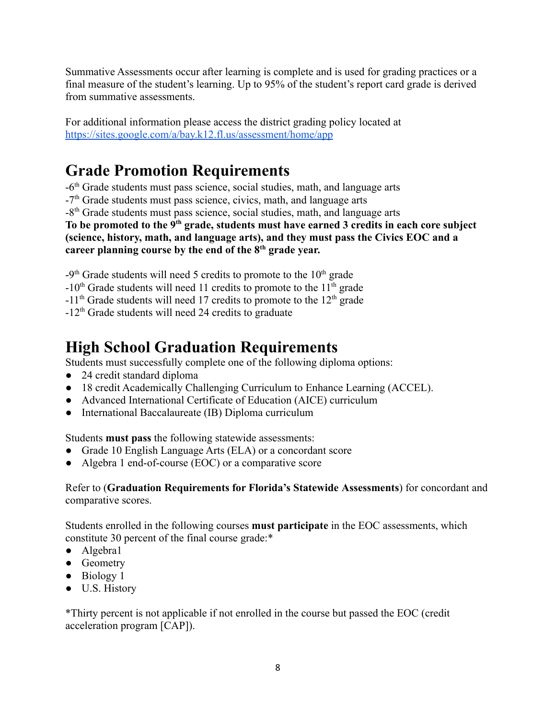Summative Assessments occur after learning is complete and is used for grading practices or a final measure of the student's learning. Up to 95% of the student's report card grade is derived from summative assessments.

For additional information please access the district grading policy located at <https://sites.google.com/a/bay.k12.fl.us/assessment/home/app>

## <span id="page-7-0"></span>**Grade Promotion Requirements**

-6th Grade students must pass science, social studies, math, and language arts

-7<sup>th</sup> Grade students must pass science, civics, math, and language arts

-8th Grade students must pass science, social studies, math, and language arts

**To be promoted to the 9th grade, students must have earned 3 credits in each core subject (science, history, math, and language arts), and they must pass the Civics EOC and a career planning course by the end of the 8th grade year.**

 $-9<sup>th</sup>$  Grade students will need 5 credits to promote to the  $10<sup>th</sup>$  grade

 $-10<sup>th</sup>$  Grade students will need 11 credits to promote to the 11<sup>th</sup> grade

 $-11<sup>th</sup>$  Grade students will need 17 credits to promote to the 12<sup>th</sup> grade

-12th Grade students will need 24 credits to graduate

## <span id="page-7-1"></span>**High School Graduation Requirements**

Students must successfully complete one of the following diploma options:

- 24 credit standard diploma
- 18 credit Academically Challenging Curriculum to Enhance Learning (ACCEL).
- Advanced International Certificate of Education (AICE) curriculum
- International Baccalaureate (IB) Diploma curriculum

Students **must pass** the following statewide assessments:

- Grade 10 English Language Arts (ELA) or a concordant score
- Algebra 1 end-of-course (EOC) or a comparative score

## Refer to (**Graduation Requirements for Florida's Statewide Assessments**) for concordant and comparative scores.

Students enrolled in the following courses **must participate** in the EOC assessments, which constitute 30 percent of the final course grade:\*

- Algebra1
- Geometry
- Biology 1
- U.S. History

\*Thirty percent is not applicable if not enrolled in the course but passed the EOC (credit acceleration program [CAP]).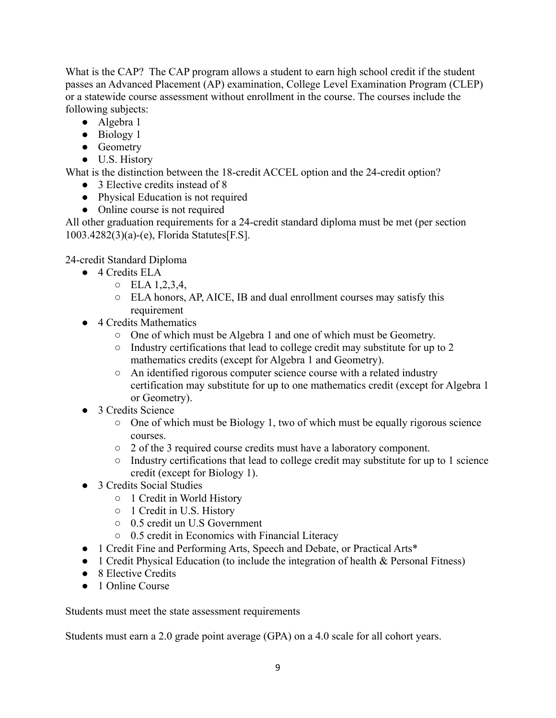What is the CAP? The CAP program allows a student to earn high school credit if the student passes an Advanced Placement (AP) examination, College Level Examination Program (CLEP) or a statewide course assessment without enrollment in the course. The courses include the following subjects:

- Algebra 1
- Biology 1
- Geometry
- U.S. History

What is the distinction between the 18-credit ACCEL option and the 24-credit option?

- 3 Elective credits instead of 8
- Physical Education is not required
- Online course is not required

All other graduation requirements for a 24-credit standard diploma must be met (per section 1003.4282(3)(a)-(e), Florida Statutes[F.S].

24-credit Standard Diploma

- 4 Credits ELA
	- $O$  ELA  $1, 2, 3, 4,$
	- ELA honors, AP, AICE, IB and dual enrollment courses may satisfy this requirement
- 4 Credits Mathematics
	- One of which must be Algebra 1 and one of which must be Geometry.
	- Industry certifications that lead to college credit may substitute for up to 2 mathematics credits (except for Algebra 1 and Geometry).
	- An identified rigorous computer science course with a related industry certification may substitute for up to one mathematics credit (except for Algebra 1 or Geometry).
- 3 Credits Science
	- $\circ$  One of which must be Biology 1, two of which must be equally rigorous science courses.
	- 2 of the 3 required course credits must have a laboratory component.
	- Industry certifications that lead to college credit may substitute for up to 1 science credit (except for Biology 1).
- 3 Credits Social Studies
	- 1 Credit in World History
	- 1 Credit in U.S. History
	- 0.5 credit un U.S Government
	- 0.5 credit in Economics with Financial Literacy
- 1 Credit Fine and Performing Arts, Speech and Debate, or Practical Arts\*
- 1 Credit Physical Education (to include the integration of health & Personal Fitness)
- 8 Elective Credits
- 1 Online Course

Students must meet the state assessment requirements

Students must earn a 2.0 grade point average (GPA) on a 4.0 scale for all cohort years.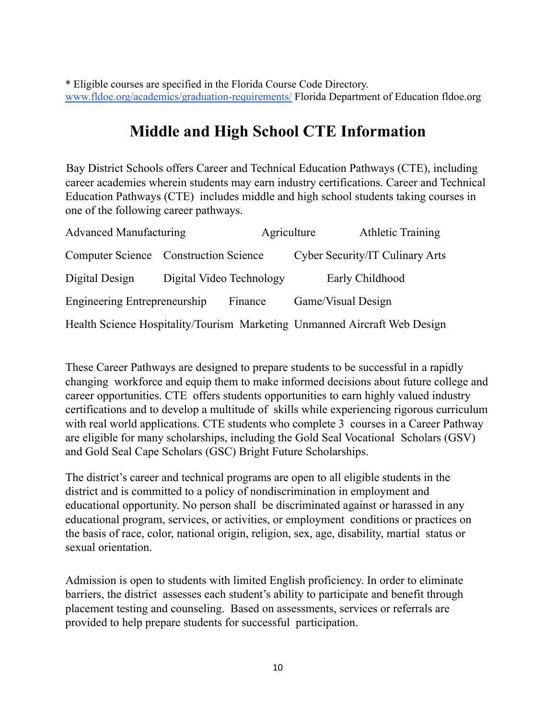\* Eligible courses are specified in the Florida Course Code Directory. [www.fldoe.org/academics/graduation-requirements/](http://www.fldoe.org/academics/graduation-requirements/) Florida Department of Education fldoe.org

## **Middle and High School CTE Information**

<span id="page-9-0"></span>Bay District Schools offers Career and Technical Education Pathways (CTE), including career academies wherein students may earn industry certifications. Career and Technical Education Pathways (CTE) includes middle and high school students taking courses in one of the following career pathways.

| <b>Advanced Manufacturing</b>                                             |                          | Agriculture |                    | <b>Athletic Training</b>        |
|---------------------------------------------------------------------------|--------------------------|-------------|--------------------|---------------------------------|
| Computer Science Construction Science                                     |                          |             |                    | Cyber Security/IT Culinary Arts |
| Digital Design                                                            | Digital Video Technology |             |                    | Early Childhood                 |
| Engineering Entrepreneurship                                              |                          | Finance     | Game/Visual Design |                                 |
| Health Science Hospitality/Tourism Marketing Unmanned Aircraft Web Design |                          |             |                    |                                 |

These Career Pathways are designed to prepare students to be successful in a rapidly changing workforce and equip them to make informed decisions about future college and career opportunities. CTE offers students opportunities to earn highly valued industry certifications and to develop a multitude of skills while experiencing rigorous curriculum with real world applications. CTE students who complete 3 courses in a Career Pathway are eligible for many scholarships, including the Gold Seal Vocational Scholars (GSV) and Gold Seal Cape Scholars (GSC) Bright Future Scholarships.

The district's career and technical programs are open to all eligible students in the district and is committed to a policy of nondiscrimination in employment and educational opportunity. No person shall be discriminated against or harassed in any educational program, services, or activities, or employment conditions or practices on the basis of race, color, national origin, religion, sex, age, disability, martial status or sexual orientation.

Admission is open to students with limited English proficiency. In order to eliminate barriers, the district assesses each student's ability to participate and benefit through placement testing and counseling. Based on assessments, services or referrals are provided to help prepare students for successful participation.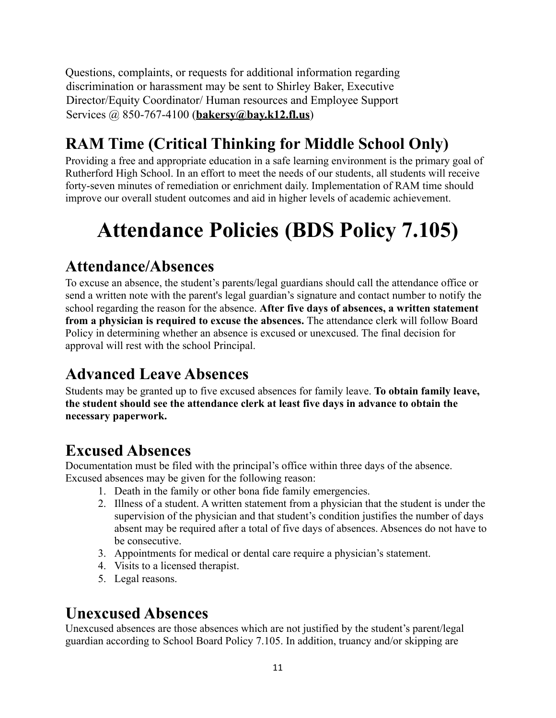Questions, complaints, or requests for additional information regarding discrimination or harassment may be sent to Shirley Baker, Executive Director/Equity Coordinator/ Human resources and Employee Support Services @ 850-767-4100 (**bakersy@bay.k12.fl.us**)

# <span id="page-10-0"></span>**RAM Time (Critical Thinking for Middle School Only)**

Providing a free and appropriate education in a safe learning environment is the primary goal of Rutherford High School. In an effort to meet the needs of our students, all students will receive forty-seven minutes of remediation or enrichment daily. Implementation of RAM time should improve our overall student outcomes and aid in higher levels of academic achievement.

# <span id="page-10-1"></span>**Attendance Policies (BDS Policy 7.105)**

## <span id="page-10-2"></span>**Attendance/Absences**

To excuse an absence, the student's parents/legal guardians should call the attendance office or send a written note with the parent's legal guardian's signature and contact number to notify the school regarding the reason for the absence. **After five days of absences, a written statement from a physician is required to excuse the absences.** The attendance clerk will follow Board Policy in determining whether an absence is excused or unexcused. The final decision for approval will rest with the school Principal.

# <span id="page-10-3"></span>**Advanced Leave Absences**

Students may be granted up to five excused absences for family leave. **To obtain family leave, the student should see the attendance clerk at least five days in advance to obtain the necessary paperwork.**

## <span id="page-10-4"></span>**Excused Absences**

Documentation must be filed with the principal's office within three days of the absence. Excused absences may be given for the following reason:

- 1. Death in the family or other bona fide family emergencies.
- 2. Illness of a student. A written statement from a physician that the student is under the supervision of the physician and that student's condition justifies the number of days absent may be required after a total of five days of absences. Absences do not have to be consecutive.
- 3. Appointments for medical or dental care require a physician's statement.
- 4. Visits to a licensed therapist.
- 5. Legal reasons.

## <span id="page-10-5"></span>**Unexcused Absences**

Unexcused absences are those absences which are not justified by the student's parent/legal guardian according to School Board Policy 7.105. In addition, truancy and/or skipping are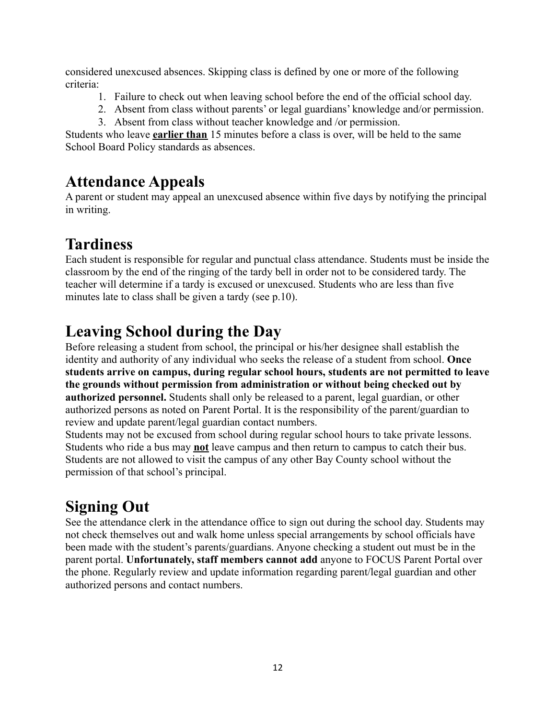considered unexcused absences. Skipping class is defined by one or more of the following criteria:

- 1. Failure to check out when leaving school before the end of the official school day.
- 2. Absent from class without parents' or legal guardians' knowledge and/or permission.
- 3. Absent from class without teacher knowledge and /or permission.

Students who leave **earlier than** 15 minutes before a class is over, will be held to the same School Board Policy standards as absences.

## <span id="page-11-0"></span>**Attendance Appeals**

A parent or student may appeal an unexcused absence within five days by notifying the principal in writing.

## <span id="page-11-1"></span>**Tardiness**

Each student is responsible for regular and punctual class attendance. Students must be inside the classroom by the end of the ringing of the tardy bell in order not to be considered tardy. The teacher will determine if a tardy is excused or unexcused. Students who are less than five minutes late to class shall be given a tardy (see p.10).

## <span id="page-11-2"></span>**Leaving School during the Day**

Before releasing a student from school, the principal or his/her designee shall establish the identity and authority of any individual who seeks the release of a student from school. **Once students arrive on campus, during regular school hours, students are not permitted to leave the grounds without permission from administration or without being checked out by authorized personnel.** Students shall only be released to a parent, legal guardian, or other authorized persons as noted on Parent Portal. It is the responsibility of the parent/guardian to review and update parent/legal guardian contact numbers.

Students may not be excused from school during regular school hours to take private lessons. Students who ride a bus may **not** leave campus and then return to campus to catch their bus. Students are not allowed to visit the campus of any other Bay County school without the permission of that school's principal.

# <span id="page-11-3"></span>**Signing Out**

See the attendance clerk in the attendance office to sign out during the school day. Students may not check themselves out and walk home unless special arrangements by school officials have been made with the student's parents/guardians. Anyone checking a student out must be in the parent portal. **Unfortunately, staff members cannot add** anyone to FOCUS Parent Portal over the phone. Regularly review and update information regarding parent/legal guardian and other authorized persons and contact numbers.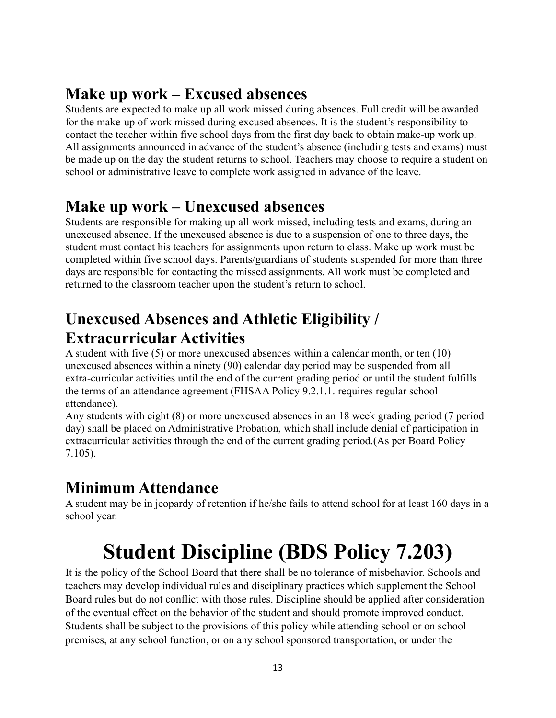## <span id="page-12-0"></span>**Make up work – Excused absences**

Students are expected to make up all work missed during absences. Full credit will be awarded for the make-up of work missed during excused absences. It is the student's responsibility to contact the teacher within five school days from the first day back to obtain make-up work up. All assignments announced in advance of the student's absence (including tests and exams) must be made up on the day the student returns to school. Teachers may choose to require a student on school or administrative leave to complete work assigned in advance of the leave.

## <span id="page-12-1"></span>**Make up work – Unexcused absences**

Students are responsible for making up all work missed, including tests and exams, during an unexcused absence. If the unexcused absence is due to a suspension of one to three days, the student must contact his teachers for assignments upon return to class. Make up work must be completed within five school days. Parents/guardians of students suspended for more than three days are responsible for contacting the missed assignments. All work must be completed and returned to the classroom teacher upon the student's return to school.

## <span id="page-12-2"></span>**Unexcused Absences and Athletic Eligibility / Extracurricular Activities**

A student with five (5) or more unexcused absences within a calendar month, or ten (10) unexcused absences within a ninety (90) calendar day period may be suspended from all extra-curricular activities until the end of the current grading period or until the student fulfills the terms of an attendance agreement (FHSAA Policy 9.2.1.1. requires regular school attendance).

Any students with eight (8) or more unexcused absences in an 18 week grading period (7 period day) shall be placed on Administrative Probation, which shall include denial of participation in extracurricular activities through the end of the current grading period.(As per Board Policy 7.105).

## <span id="page-12-3"></span>**Minimum Attendance**

A student may be in jeopardy of retention if he/she fails to attend school for at least 160 days in a school year.

# **Student Discipline (BDS Policy 7.203)**

<span id="page-12-4"></span>It is the policy of the School Board that there shall be no tolerance of misbehavior. Schools and teachers may develop individual rules and disciplinary practices which supplement the School Board rules but do not conflict with those rules. Discipline should be applied after consideration of the eventual effect on the behavior of the student and should promote improved conduct. Students shall be subject to the provisions of this policy while attending school or on school premises, at any school function, or on any school sponsored transportation, or under the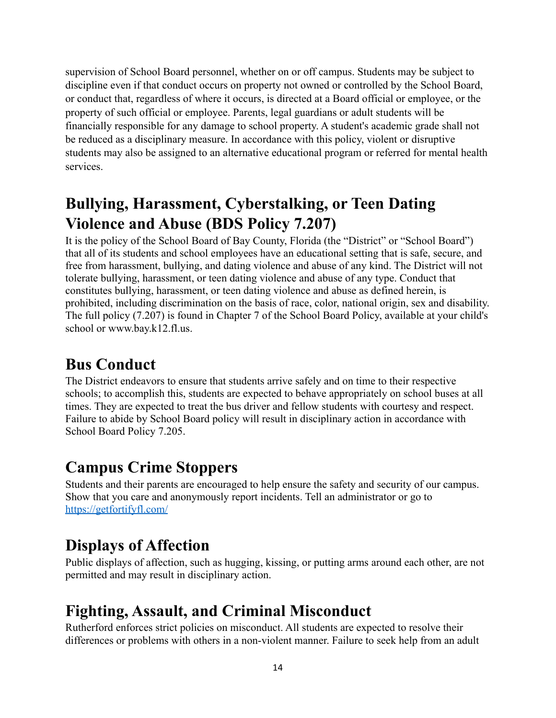supervision of School Board personnel, whether on or off campus. Students may be subject to discipline even if that conduct occurs on property not owned or controlled by the School Board, or conduct that, regardless of where it occurs, is directed at a Board official or employee, or the property of such official or employee. Parents, legal guardians or adult students will be financially responsible for any damage to school property. A student's academic grade shall not be reduced as a disciplinary measure. In accordance with this policy, violent or disruptive students may also be assigned to an alternative educational program or referred for mental health services.

## <span id="page-13-0"></span>**Bullying, Harassment, Cyberstalking, or Teen Dating Violence and Abuse (BDS Policy 7.207)**

It is the policy of the School Board of Bay County, Florida (the "District" or "School Board") that all of its students and school employees have an educational setting that is safe, secure, and free from harassment, bullying, and dating violence and abuse of any kind. The District will not tolerate bullying, harassment, or teen dating violence and abuse of any type. Conduct that constitutes bullying, harassment, or teen dating violence and abuse as defined herein, is prohibited, including discrimination on the basis of race, color, national origin, sex and disability. The full policy (7.207) is found in Chapter 7 of the School Board Policy, available at your child's school or www.bay.k12.fl.us.

## <span id="page-13-1"></span>**Bus Conduct**

The District endeavors to ensure that students arrive safely and on time to their respective schools; to accomplish this, students are expected to behave appropriately on school buses at all times. They are expected to treat the bus driver and fellow students with courtesy and respect. Failure to abide by School Board policy will result in disciplinary action in accordance with School Board Policy 7.205.

## <span id="page-13-2"></span>**Campus Crime Stoppers**

Students and their parents are encouraged to help ensure the safety and security of our campus. Show that you care and anonymously report incidents. Tell an administrator or go to <https://getfortifyfl.com/>

## <span id="page-13-3"></span>**Displays of Affection**

Public displays of affection, such as hugging, kissing, or putting arms around each other, are not permitted and may result in disciplinary action.

# <span id="page-13-4"></span>**Fighting, Assault, and Criminal Misconduct**

Rutherford enforces strict policies on misconduct. All students are expected to resolve their differences or problems with others in a non-violent manner. Failure to seek help from an adult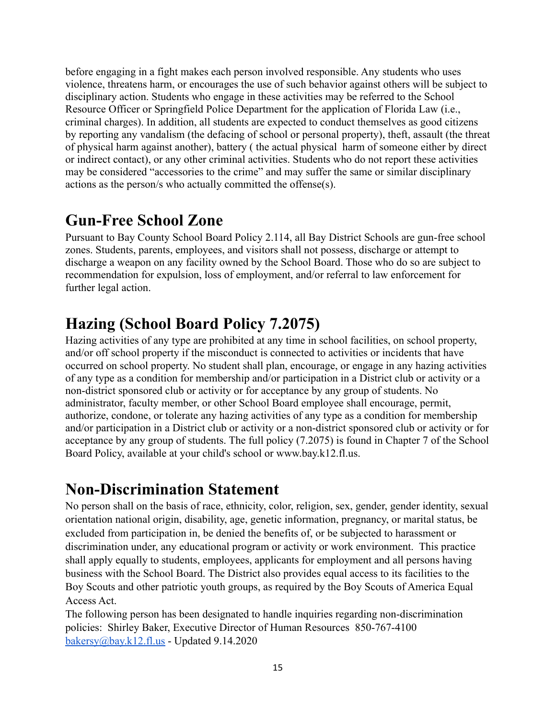before engaging in a fight makes each person involved responsible. Any students who uses violence, threatens harm, or encourages the use of such behavior against others will be subject to disciplinary action. Students who engage in these activities may be referred to the School Resource Officer or Springfield Police Department for the application of Florida Law (i.e., criminal charges). In addition, all students are expected to conduct themselves as good citizens by reporting any vandalism (the defacing of school or personal property), theft, assault (the threat of physical harm against another), battery ( the actual physical harm of someone either by direct or indirect contact), or any other criminal activities. Students who do not report these activities may be considered "accessories to the crime" and may suffer the same or similar disciplinary actions as the person/s who actually committed the offense(s).

## <span id="page-14-0"></span>**Gun-Free School Zone**

Pursuant to Bay County School Board Policy 2.114, all Bay District Schools are gun-free school zones. Students, parents, employees, and visitors shall not possess, discharge or attempt to discharge a weapon on any facility owned by the School Board. Those who do so are subject to recommendation for expulsion, loss of employment, and/or referral to law enforcement for further legal action.

# <span id="page-14-1"></span>**Hazing (School Board Policy 7.2075)**

Hazing activities of any type are prohibited at any time in school facilities, on school property, and/or off school property if the misconduct is connected to activities or incidents that have occurred on school property. No student shall plan, encourage, or engage in any hazing activities of any type as a condition for membership and/or participation in a District club or activity or a non-district sponsored club or activity or for acceptance by any group of students. No administrator, faculty member, or other School Board employee shall encourage, permit, authorize, condone, or tolerate any hazing activities of any type as a condition for membership and/or participation in a District club or activity or a non-district sponsored club or activity or for acceptance by any group of students. The full policy (7.2075) is found in Chapter 7 of the School Board Policy, available at your child's school or www.bay.k12.fl.us.

## <span id="page-14-2"></span>**Non-Discrimination Statement**

No person shall on the basis of race, ethnicity, color, religion, sex, gender, gender identity, sexual orientation national origin, disability, age, genetic information, pregnancy, or marital status, be excluded from participation in, be denied the benefits of, or be subjected to harassment or discrimination under, any educational program or activity or work environment. This practice shall apply equally to students, employees, applicants for employment and all persons having business with the School Board. The District also provides equal access to its facilities to the Boy Scouts and other patriotic youth groups, as required by the Boy Scouts of America Equal Access Act.

The following person has been designated to handle inquiries regarding non-discrimination policies: Shirley Baker, Executive Director of Human Resources 850-767-4100 [bakersy@bay.k12.fl.us](mailto:bakersy@bay.k12.fl.us) - Updated  $9.14.2020$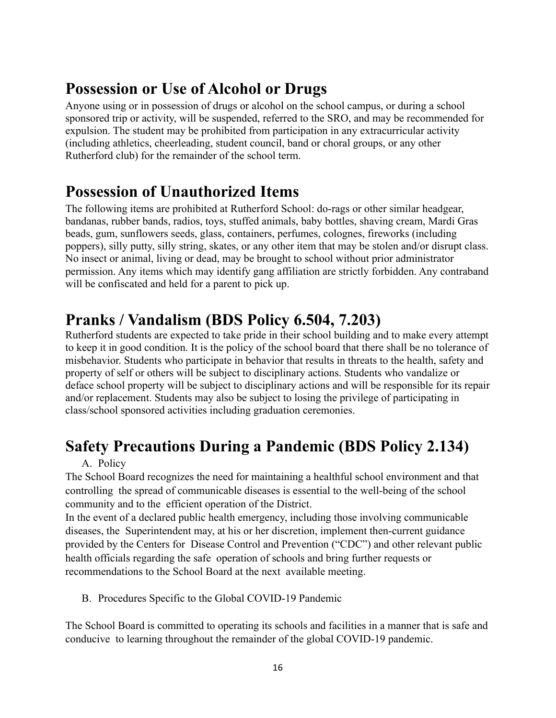## <span id="page-15-0"></span>**Possession or Use of Alcohol or Drugs**

Anyone using or in possession of drugs or alcohol on the school campus, or during a school sponsored trip or activity, will be suspended, referred to the SRO, and may be recommended for expulsion. The student may be prohibited from participation in any extracurricular activity (including athletics, cheerleading, student council, band or choral groups, or any other Rutherford club) for the remainder of the school term.

## <span id="page-15-1"></span>**Possession of Unauthorized Items**

The following items are prohibited at Rutherford School: do-rags or other similar headgear, bandanas, rubber bands, radios, toys, stuffed animals, baby bottles, shaving cream, Mardi Gras beads, gum, sunflowers seeds, glass, containers, perfumes, colognes, fireworks (including poppers), silly putty, silly string, skates, or any other item that may be stolen and/or disrupt class. No insect or animal, living or dead, may be brought to school without prior administrator permission. Any items which may identify gang affiliation are strictly forbidden. Any contraband will be confiscated and held for a parent to pick up.

## <span id="page-15-2"></span>**Pranks / Vandalism (BDS Policy 6.504, 7.203)**

Rutherford students are expected to take pride in their school building and to make every attempt to keep it in good condition. It is the policy of the school board that there shall be no tolerance of misbehavior. Students who participate in behavior that results in threats to the health, safety and property of self or others will be subject to disciplinary actions. Students who vandalize or deface school property will be subject to disciplinary actions and will be responsible for its repair and/or replacement. Students may also be subject to losing the privilege of participating in class/school sponsored activities including graduation ceremonies.

# <span id="page-15-3"></span>**Safety Precautions During a Pandemic (BDS Policy 2.134)**

## A. Policy

The School Board recognizes the need for maintaining a healthful school environment and that controlling the spread of communicable diseases is essential to the well-being of the school community and to the efficient operation of the District.

In the event of a declared public health emergency, including those involving communicable diseases, the Superintendent may, at his or her discretion, implement then-current guidance provided by the Centers for Disease Control and Prevention ("CDC") and other relevant public health officials regarding the safe operation of schools and bring further requests or recommendations to the School Board at the next available meeting.

B. Procedures Specific to the Global COVID-19 Pandemic

The School Board is committed to operating its schools and facilities in a manner that is safe and conducive to learning throughout the remainder of the global COVID-19 pandemic.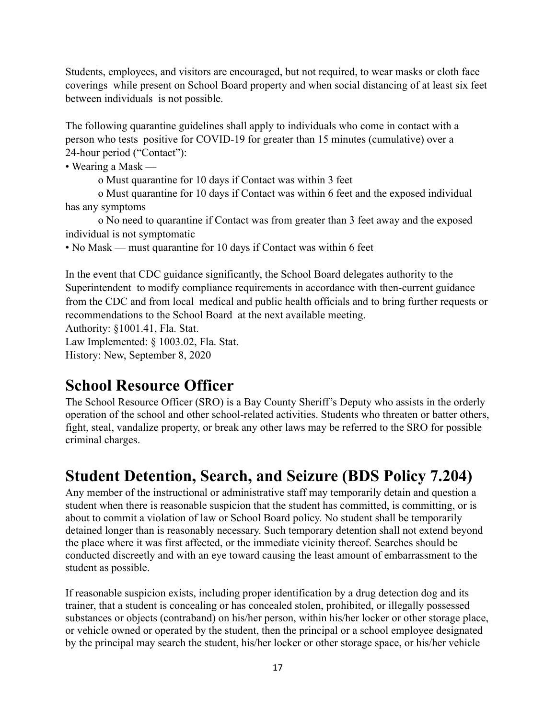Students, employees, and visitors are encouraged, but not required, to wear masks or cloth face coverings while present on School Board property and when social distancing of at least six feet between individuals is not possible.

The following quarantine guidelines shall apply to individuals who come in contact with a person who tests positive for COVID-19 for greater than 15 minutes (cumulative) over a 24-hour period ("Contact"):

• Wearing a Mask —

o Must quarantine for 10 days if Contact was within 3 feet

o Must quarantine for 10 days if Contact was within 6 feet and the exposed individual has any symptoms

o No need to quarantine if Contact was from greater than 3 feet away and the exposed individual is not symptomatic

• No Mask — must quarantine for 10 days if Contact was within 6 feet

In the event that CDC guidance significantly, the School Board delegates authority to the Superintendent to modify compliance requirements in accordance with then-current guidance from the CDC and from local medical and public health officials and to bring further requests or recommendations to the School Board at the next available meeting.

Authority: §1001.41, Fla. Stat.

Law Implemented: § 1003.02, Fla. Stat.

History: New, September 8, 2020

## <span id="page-16-0"></span>**School Resource Officer**

The School Resource Officer (SRO) is a Bay County Sheriff's Deputy who assists in the orderly operation of the school and other school-related activities. Students who threaten or batter others, fight, steal, vandalize property, or break any other laws may be referred to the SRO for possible criminal charges.

## <span id="page-16-1"></span>**Student Detention, Search, and Seizure (BDS Policy 7.204)**

Any member of the instructional or administrative staff may temporarily detain and question a student when there is reasonable suspicion that the student has committed, is committing, or is about to commit a violation of law or School Board policy. No student shall be temporarily detained longer than is reasonably necessary. Such temporary detention shall not extend beyond the place where it was first affected, or the immediate vicinity thereof. Searches should be conducted discreetly and with an eye toward causing the least amount of embarrassment to the student as possible.

If reasonable suspicion exists, including proper identification by a drug detection dog and its trainer, that a student is concealing or has concealed stolen, prohibited, or illegally possessed substances or objects (contraband) on his/her person, within his/her locker or other storage place, or vehicle owned or operated by the student, then the principal or a school employee designated by the principal may search the student, his/her locker or other storage space, or his/her vehicle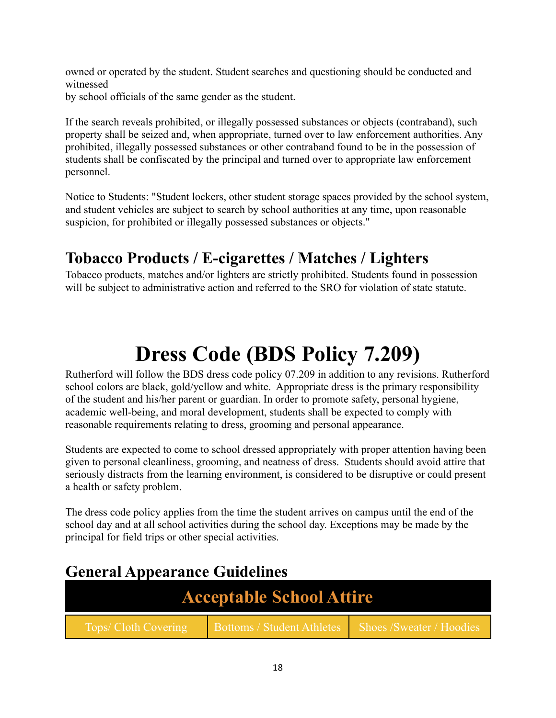owned or operated by the student. Student searches and questioning should be conducted and witnessed

by school officials of the same gender as the student.

If the search reveals prohibited, or illegally possessed substances or objects (contraband), such property shall be seized and, when appropriate, turned over to law enforcement authorities. Any prohibited, illegally possessed substances or other contraband found to be in the possession of students shall be confiscated by the principal and turned over to appropriate law enforcement personnel.

Notice to Students: "Student lockers, other student storage spaces provided by the school system, and student vehicles are subject to search by school authorities at any time, upon reasonable suspicion, for prohibited or illegally possessed substances or objects."

## <span id="page-17-0"></span>**Tobacco Products / E-cigarettes / Matches / Lighters**

Tobacco products, matches and/or lighters are strictly prohibited. Students found in possession will be subject to administrative action and referred to the SRO for violation of state statute.

# **Dress Code (BDS Policy 7.209)**

<span id="page-17-1"></span>Rutherford will follow the BDS dress code policy 07.209 in addition to any revisions. Rutherford school colors are black, gold/yellow and white. Appropriate dress is the primary responsibility of the student and his/her parent or guardian. In order to promote safety, personal hygiene, academic well-being, and moral development, students shall be expected to comply with reasonable requirements relating to dress, grooming and personal appearance.

Students are expected to come to school dressed appropriately with proper attention having been given to personal cleanliness, grooming, and neatness of dress. Students should avoid attire that seriously distracts from the learning environment, is considered to be disruptive or could present a health or safety problem.

The dress code policy applies from the time the student arrives on campus until the end of the school day and at all school activities during the school day. Exceptions may be made by the principal for field trips or other special activities.

## <span id="page-17-2"></span>**General Appearance Guidelines**

| <b>Acceptable School Attire</b> |                                                      |  |
|---------------------------------|------------------------------------------------------|--|
| Tops/ Cloth Covering            | Bottoms / Student Athletes Shoes / Sweater / Hoodies |  |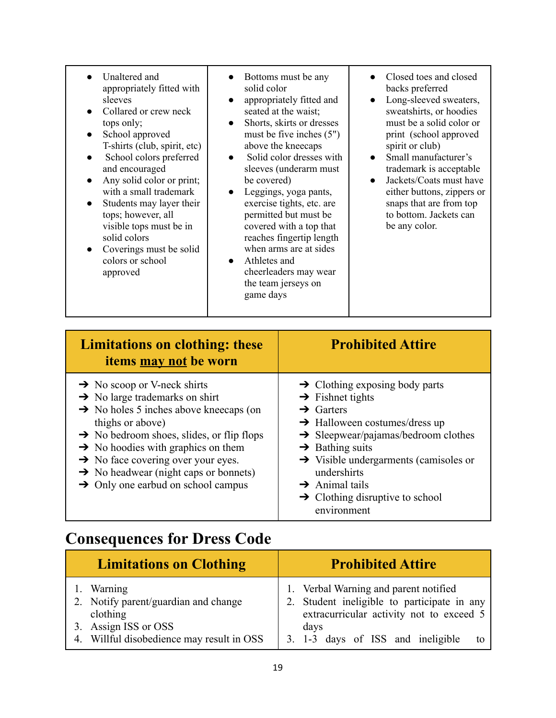- Unaltered and appropriately fitted with sleeves
- Collared or crew neck tops only;
- School approved T-shirts (club, spirit, etc)
- School colors preferred and encouraged
- Any solid color or print; with a small trademark
- Students may layer their tops; however, all visible tops must be in solid colors
- Coverings must be solid colors or school approved
- Bottoms must be any solid color
- appropriately fitted and seated at the waist;
- Shorts, skirts or dresses must be five inches (5") above the kneecaps
- Solid color dresses with sleeves (underarm must be covered)
- Leggings, yoga pants, exercise tights, etc. are permitted but must be covered with a top that reaches fingertip length when arms are at sides
- Athletes and cheerleaders may wear the team jerseys on game days
- Closed toes and closed backs preferred
- Long-sleeved sweaters, sweatshirts, or hoodies must be a solid color or print (school approved spirit or club)
- Small manufacturer's trademark is acceptable
- Jackets/Coats must have either buttons, zippers or snaps that are from top to bottom. Jackets can be any color.

| <b>Limitations on clothing: these</b><br>items may not be worn                                                                                                                                                                                                                                                                                                                                                                      | <b>Prohibited Attire</b>                                                                                                                                                                                                                                                                                                                                                                           |
|-------------------------------------------------------------------------------------------------------------------------------------------------------------------------------------------------------------------------------------------------------------------------------------------------------------------------------------------------------------------------------------------------------------------------------------|----------------------------------------------------------------------------------------------------------------------------------------------------------------------------------------------------------------------------------------------------------------------------------------------------------------------------------------------------------------------------------------------------|
| $\rightarrow$ No scoop or V-neck shirts<br>$\rightarrow$ No large trademarks on shirt<br>$\rightarrow$ No holes 5 inches above kneecaps (on<br>thighs or above)<br>$\rightarrow$ No bedroom shoes, slides, or flip flops<br>$\rightarrow$ No hoodies with graphics on them<br>$\rightarrow$ No face covering over your eyes.<br>$\rightarrow$ No headwear (night caps or bonnets)<br>$\rightarrow$ Only one earbud on school campus | $\rightarrow$ Clothing exposing body parts<br>$\rightarrow$ Fishnet tights<br>$\rightarrow$ Garters<br>$\rightarrow$ Halloween costumes/dress up<br>$\rightarrow$ Sleepwear/pajamas/bedroom clothes<br>$\rightarrow$ Bathing suits<br>$\rightarrow$ Visible undergarments (camisoles or<br>undershirts<br>$\rightarrow$ Animal tails<br>$\rightarrow$ Clothing disruptive to school<br>environment |

## <span id="page-18-0"></span>**Consequences for Dress Code**

| <b>Limitations on Clothing</b>                                    | <b>Prohibited Attire</b>                                                                                                         |
|-------------------------------------------------------------------|----------------------------------------------------------------------------------------------------------------------------------|
| 1. Warning<br>2. Notify parent/guardian and change<br>clothing    | 1. Verbal Warning and parent notified<br>2. Student ineligible to participate in any<br>extracurricular activity not to exceed 5 |
| 3. Assign ISS or OSS<br>4. Willful disobedience may result in OSS | days<br>3. 1-3 days of ISS and ineligible                                                                                        |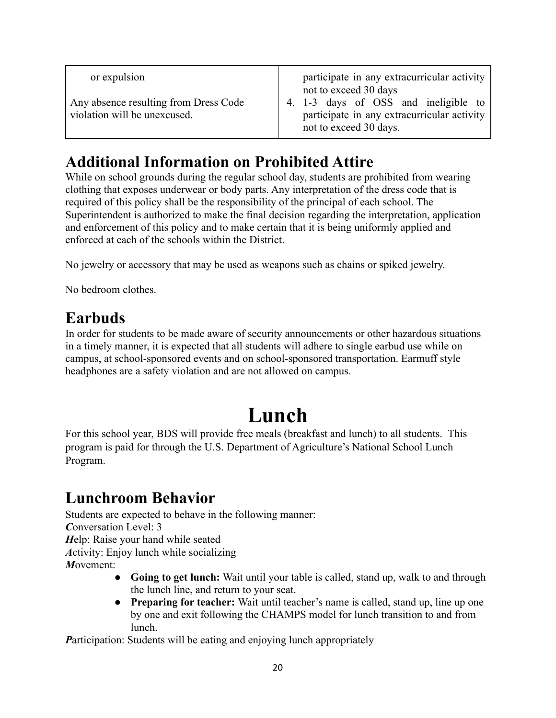| or expulsion                                                          | participate in any extracurricular activity<br>not to exceed 30 days                                          |
|-----------------------------------------------------------------------|---------------------------------------------------------------------------------------------------------------|
| Any absence resulting from Dress Code<br>violation will be unexcused. | 4. 1-3 days of OSS and ineligible to<br>participate in any extracurricular activity<br>not to exceed 30 days. |

## <span id="page-19-0"></span>**Additional Information on Prohibited Attire**

While on school grounds during the regular school day, students are prohibited from wearing clothing that exposes underwear or body parts. Any interpretation of the dress code that is required of this policy shall be the responsibility of the principal of each school. The Superintendent is authorized to make the final decision regarding the interpretation, application and enforcement of this policy and to make certain that it is being uniformly applied and enforced at each of the schools within the District.

No jewelry or accessory that may be used as weapons such as chains or spiked jewelry.

No bedroom clothes.

## <span id="page-19-1"></span>**Earbuds**

In order for students to be made aware of security announcements or other hazardous situations in a timely manner, it is expected that all students will adhere to single earbud use while on campus, at school-sponsored events and on school-sponsored transportation. Earmuff style headphones are a safety violation and are not allowed on campus.

# **Lunch**

<span id="page-19-2"></span>For this school year, BDS will provide free meals (breakfast and lunch) to all students. This program is paid for through the U.S. Department of Agriculture's National School Lunch Program.

# <span id="page-19-3"></span>**Lunchroom Behavior**

Students are expected to behave in the following manner: *C*onversation Level: 3 *H*elp: Raise your hand while seated *A*ctivity: Enjoy lunch while socializing *M*ovement:

- **Going to get lunch:** Wait until your table is called, stand up, walk to and through the lunch line, and return to your seat.
- **Preparing for teacher:** Wait until teacher's name is called, stand up, line up one by one and exit following the CHAMPS model for lunch transition to and from lunch.

*Participation:* Students will be eating and enjoying lunch appropriately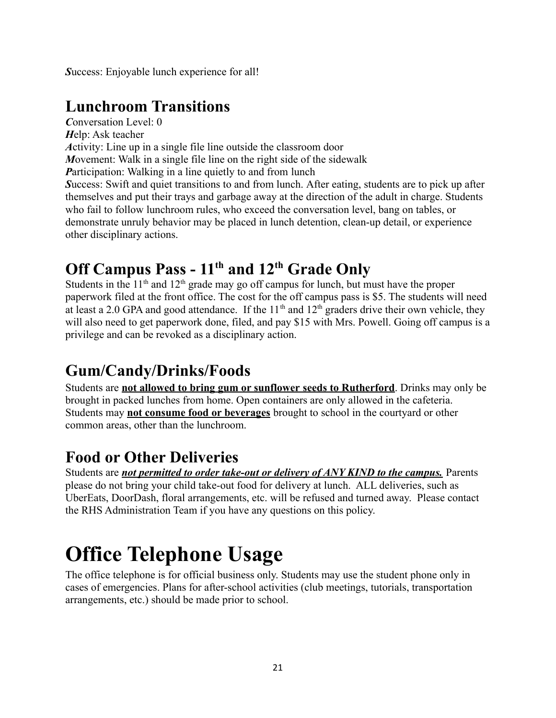*S*uccess: Enjoyable lunch experience for all!

## <span id="page-20-0"></span>**Lunchroom Transitions**

*C*onversation Level: 0 *H*elp: Ask teacher *A*ctivity: Line up in a single file line outside the classroom door *M*ovement: Walk in a single file line on the right side of the sidewalk *Participation:* Walking in a line quietly to and from lunch *S*uccess: Swift and quiet transitions to and from lunch. After eating, students are to pick up after themselves and put their trays and garbage away at the direction of the adult in charge. Students who fail to follow lunchroom rules, who exceed the conversation level, bang on tables, or demonstrate unruly behavior may be placed in lunch detention, clean-up detail, or experience other disciplinary actions.

## <span id="page-20-1"></span>**Off Campus Pass - 11 th and 12th Grade Only**

Students in the  $11<sup>th</sup>$  and  $12<sup>th</sup>$  grade may go off campus for lunch, but must have the proper paperwork filed at the front office. The cost for the off campus pass is \$5. The students will need at least a 2.0 GPA and good attendance. If the  $11<sup>th</sup>$  and  $12<sup>th</sup>$  graders drive their own vehicle, they will also need to get paperwork done, filed, and pay \$15 with Mrs. Powell. Going off campus is a privilege and can be revoked as a disciplinary action.

# <span id="page-20-2"></span>**Gum/Candy/Drinks/Foods**

Students are **not allowed to bring gum or sunflower seeds to Rutherford**. Drinks may only be brought in packed lunches from home. Open containers are only allowed in the cafeteria. Students may **not consume food or beverages** brought to school in the courtyard or other common areas, other than the lunchroom.

# <span id="page-20-3"></span>**Food or Other Deliveries**

Students are *not permitted to order take-out or delivery of ANY KIND to the campus.* Parents please do not bring your child take-out food for delivery at lunch. ALL deliveries, such as UberEats, DoorDash, floral arrangements, etc. will be refused and turned away. Please contact the RHS Administration Team if you have any questions on this policy.

# <span id="page-20-4"></span>**Office Telephone Usage**

The office telephone is for official business only. Students may use the student phone only in cases of emergencies. Plans for after-school activities (club meetings, tutorials, transportation arrangements, etc.) should be made prior to school.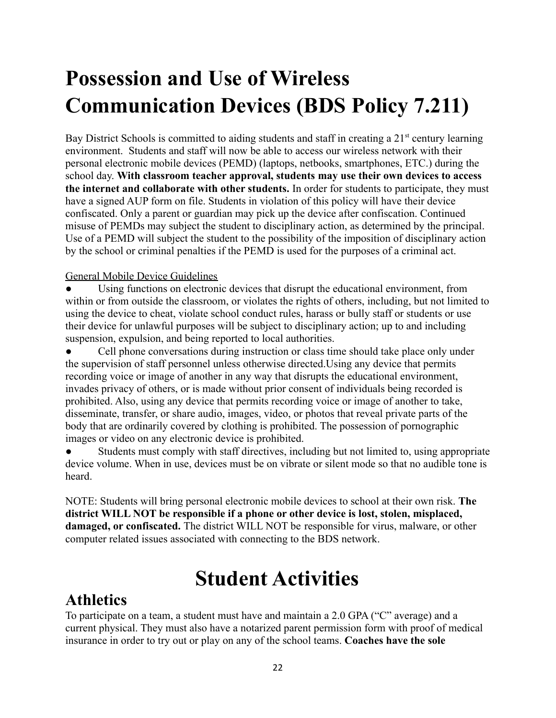# <span id="page-21-0"></span>**Possession and Use of Wireless Communication Devices (BDS Policy 7.211)**

Bay District Schools is committed to aiding students and staff in creating a  $21<sup>st</sup>$  century learning environment. Students and staff will now be able to access our wireless network with their personal electronic mobile devices (PEMD) (laptops, netbooks, smartphones, ETC.) during the school day. **With classroom teacher approval, students may use their own devices to access the internet and collaborate with other students.** In order for students to participate, they must have a signed AUP form on file. Students in violation of this policy will have their device confiscated. Only a parent or guardian may pick up the device after confiscation. Continued misuse of PEMDs may subject the student to disciplinary action, as determined by the principal. Use of a PEMD will subject the student to the possibility of the imposition of disciplinary action by the school or criminal penalties if the PEMD is used for the purposes of a criminal act.

## General Mobile Device Guidelines

Using functions on electronic devices that disrupt the educational environment, from within or from outside the classroom, or violates the rights of others, including, but not limited to using the device to cheat, violate school conduct rules, harass or bully staff or students or use their device for unlawful purposes will be subject to disciplinary action; up to and including suspension, expulsion, and being reported to local authorities.

• Cell phone conversations during instruction or class time should take place only under the supervision of staff personnel unless otherwise directed.Using any device that permits recording voice or image of another in any way that disrupts the educational environment, invades privacy of others, or is made without prior consent of individuals being recorded is prohibited. Also, using any device that permits recording voice or image of another to take, disseminate, transfer, or share audio, images, video, or photos that reveal private parts of the body that are ordinarily covered by clothing is prohibited. The possession of pornographic images or video on any electronic device is prohibited.

Students must comply with staff directives, including but not limited to, using appropriate device volume. When in use, devices must be on vibrate or silent mode so that no audible tone is heard.

NOTE: Students will bring personal electronic mobile devices to school at their own risk. **The district WILL NOT be responsible if a phone or other device is lost, stolen, misplaced, damaged, or confiscated.** The district WILL NOT be responsible for virus, malware, or other computer related issues associated with connecting to the BDS network.

# **Student Activities**

## <span id="page-21-2"></span><span id="page-21-1"></span>**Athletics**

To participate on a team, a student must have and maintain a 2.0 GPA ("C" average) and a current physical. They must also have a notarized parent permission form with proof of medical insurance in order to try out or play on any of the school teams. **Coaches have the sole**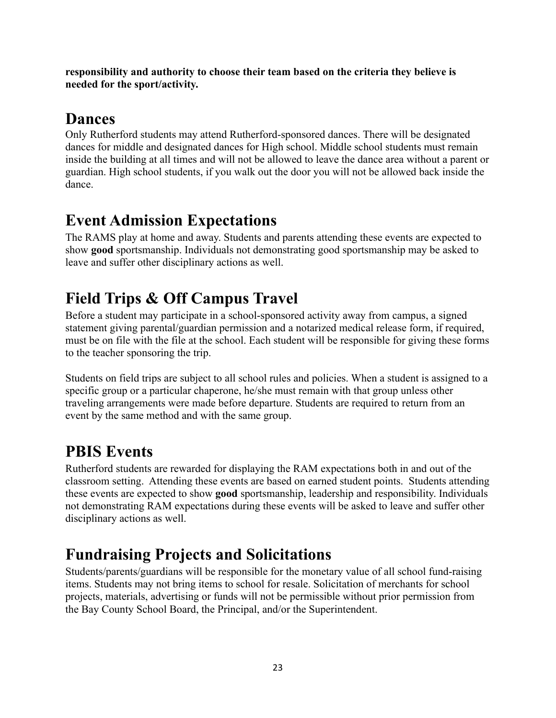**responsibility and authority to choose their team based on the criteria they believe is needed for the sport/activity.**

## <span id="page-22-0"></span>**Dances**

Only Rutherford students may attend Rutherford-sponsored dances. There will be designated dances for middle and designated dances for High school. Middle school students must remain inside the building at all times and will not be allowed to leave the dance area without a parent or guardian. High school students, if you walk out the door you will not be allowed back inside the dance.

## <span id="page-22-1"></span>**Event Admission Expectations**

The RAMS play at home and away. Students and parents attending these events are expected to show **good** sportsmanship. Individuals not demonstrating good sportsmanship may be asked to leave and suffer other disciplinary actions as well.

# <span id="page-22-2"></span>**Field Trips & Off Campus Travel**

Before a student may participate in a school-sponsored activity away from campus, a signed statement giving parental/guardian permission and a notarized medical release form, if required, must be on file with the file at the school. Each student will be responsible for giving these forms to the teacher sponsoring the trip.

Students on field trips are subject to all school rules and policies. When a student is assigned to a specific group or a particular chaperone, he/she must remain with that group unless other traveling arrangements were made before departure. Students are required to return from an event by the same method and with the same group.

# <span id="page-22-3"></span>**PBIS Events**

Rutherford students are rewarded for displaying the RAM expectations both in and out of the classroom setting. Attending these events are based on earned student points. Students attending these events are expected to show **good** sportsmanship, leadership and responsibility. Individuals not demonstrating RAM expectations during these events will be asked to leave and suffer other disciplinary actions as well.

# <span id="page-22-4"></span>**Fundraising Projects and Solicitations**

Students/parents/guardians will be responsible for the monetary value of all school fund-raising items. Students may not bring items to school for resale. Solicitation of merchants for school projects, materials, advertising or funds will not be permissible without prior permission from the Bay County School Board, the Principal, and/or the Superintendent.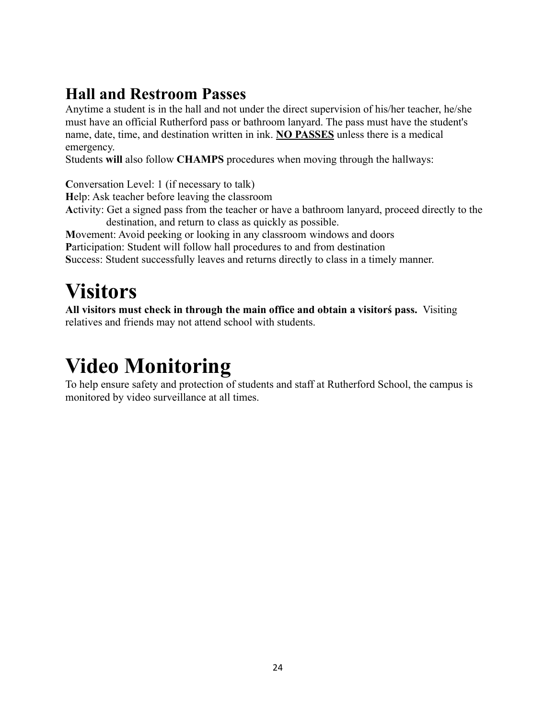## <span id="page-23-0"></span>**Hall and Restroom Passes**

Anytime a student is in the hall and not under the direct supervision of his/her teacher, he/she must have an official Rutherford pass or bathroom lanyard. The pass must have the student's name, date, time, and destination written in ink. **NO PASSES** unless there is a medical emergency.

Students **will** also follow **CHAMPS** procedures when moving through the hallways:

**C**onversation Level: 1 (if necessary to talk)

**H**elp: Ask teacher before leaving the classroom

**A**ctivity: Get a signed pass from the teacher or have a bathroom lanyard, proceed directly to the destination, and return to class as quickly as possible.

**M**ovement: Avoid peeking or looking in any classroom windows and doors

**P**articipation: Student will follow hall procedures to and from destination

**S**uccess: Student successfully leaves and returns directly to class in a timely manner.

# <span id="page-23-1"></span>**Visitors**

**All visitors must check in through the main office and obtain a visitorś pass.** Visiting relatives and friends may not attend school with students.

# <span id="page-23-2"></span>**Video Monitoring**

To help ensure safety and protection of students and staff at Rutherford School, the campus is monitored by video surveillance at all times.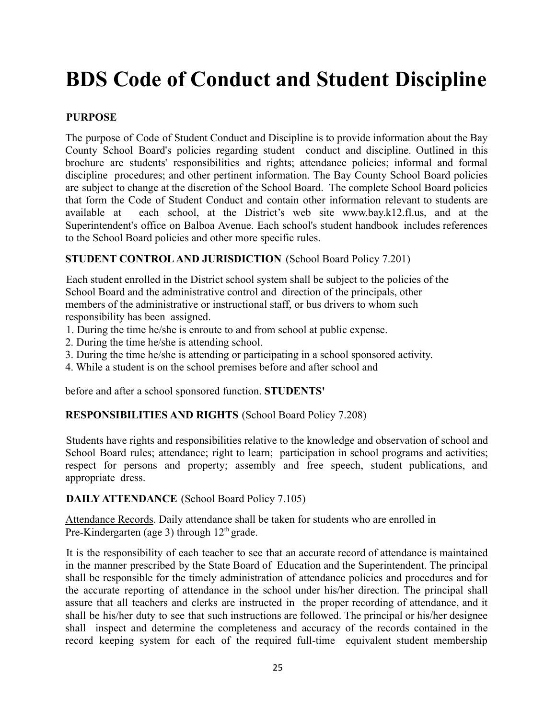# <span id="page-24-0"></span>**BDS Code of Conduct and Student Discipline**

## **PURPOSE**

The purpose of Code of Student Conduct and Discipline is to provide information about the Bay County School Board's policies regarding student conduct and discipline. Outlined in this brochure are students' responsibilities and rights; attendance policies; informal and formal discipline procedures; and other pertinent information. The Bay County School Board policies are subject to change at the discretion of the School Board. The complete School Board policies that form the Code of Student Conduct and contain other information relevant to students are available at each school, at the District's web site www.bay.k12.fl.us, and at the Superintendent's office on Balboa Avenue. Each school's student handbook includes references to the School Board policies and other more specific rules.

## **STUDENT CONTROLAND JURISDICTION** (School Board Policy 7.201)

Each student enrolled in the District school system shall be subject to the policies of the School Board and the administrative control and direction of the principals, other members of the administrative or instructional staff, or bus drivers to whom such responsibility has been assigned.

- 1. During the time he/she is enroute to and from school at public expense.
- 2. During the time he/she is attending school.
- 3. During the time he/she is attending or participating in a school sponsored activity.
- 4. While a student is on the school premises before and after school and

before and after a school sponsored function. **STUDENTS'**

## **RESPONSIBILITIES AND RIGHTS** (School Board Policy 7.208)

Students have rights and responsibilities relative to the knowledge and observation of school and School Board rules; attendance; right to learn; participation in school programs and activities; respect for persons and property; assembly and free speech, student publications, and appropriate dress.

**DAILY ATTENDANCE** (School Board Policy 7.105)

Attendance Records. Daily attendance shall be taken for students who are enrolled in Pre-Kindergarten (age 3) through 12<sup>th</sup> grade.

It is the responsibility of each teacher to see that an accurate record of attendance is maintained in the manner prescribed by the State Board of Education and the Superintendent. The principal shall be responsible for the timely administration of attendance policies and procedures and for the accurate reporting of attendance in the school under his/her direction. The principal shall assure that all teachers and clerks are instructed in the proper recording of attendance, and it shall be his/her duty to see that such instructions are followed. The principal or his/her designee shall inspect and determine the completeness and accuracy of the records contained in the record keeping system for each of the required full-time equivalent student membership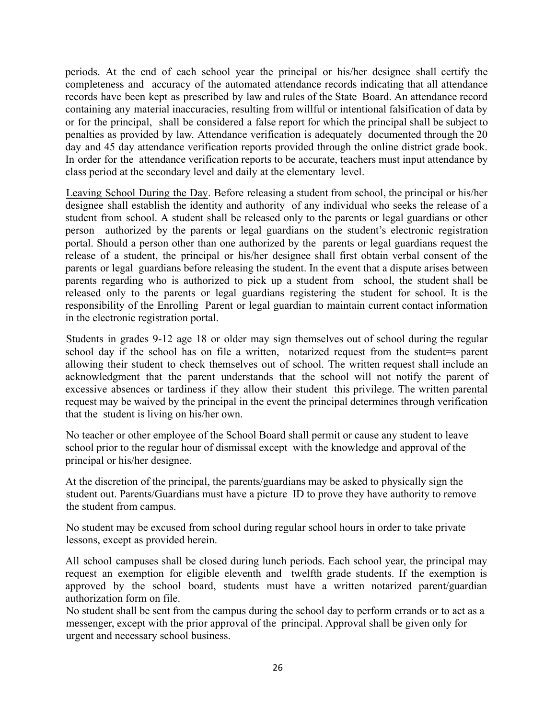periods. At the end of each school year the principal or his/her designee shall certify the completeness and accuracy of the automated attendance records indicating that all attendance records have been kept as prescribed by law and rules of the State Board. An attendance record containing any material inaccuracies, resulting from willful or intentional falsification of data by or for the principal, shall be considered a false report for which the principal shall be subject to penalties as provided by law. Attendance verification is adequately documented through the 20 day and 45 day attendance verification reports provided through the online district grade book. In order for the attendance verification reports to be accurate, teachers must input attendance by class period at the secondary level and daily at the elementary level.

Leaving School During the Day. Before releasing a student from school, the principal or his/her designee shall establish the identity and authority of any individual who seeks the release of a student from school. A student shall be released only to the parents or legal guardians or other person authorized by the parents or legal guardians on the student's electronic registration portal. Should a person other than one authorized by the parents or legal guardians request the release of a student, the principal or his/her designee shall first obtain verbal consent of the parents or legal guardians before releasing the student. In the event that a dispute arises between parents regarding who is authorized to pick up a student from school, the student shall be released only to the parents or legal guardians registering the student for school. It is the responsibility of the Enrolling Parent or legal guardian to maintain current contact information in the electronic registration portal.

Students in grades 9-12 age 18 or older may sign themselves out of school during the regular school day if the school has on file a written, notarized request from the student=s parent allowing their student to check themselves out of school. The written request shall include an acknowledgment that the parent understands that the school will not notify the parent of excessive absences or tardiness if they allow their student this privilege. The written parental request may be waived by the principal in the event the principal determines through verification that the student is living on his/her own.

No teacher or other employee of the School Board shall permit or cause any student to leave school prior to the regular hour of dismissal except with the knowledge and approval of the principal or his/her designee.

At the discretion of the principal, the parents/guardians may be asked to physically sign the student out. Parents/Guardians must have a picture ID to prove they have authority to remove the student from campus.

No student may be excused from school during regular school hours in order to take private lessons, except as provided herein.

All school campuses shall be closed during lunch periods. Each school year, the principal may request an exemption for eligible eleventh and twelfth grade students. If the exemption is approved by the school board, students must have a written notarized parent/guardian authorization form on file.

No student shall be sent from the campus during the school day to perform errands or to act as a messenger, except with the prior approval of the principal. Approval shall be given only for urgent and necessary school business.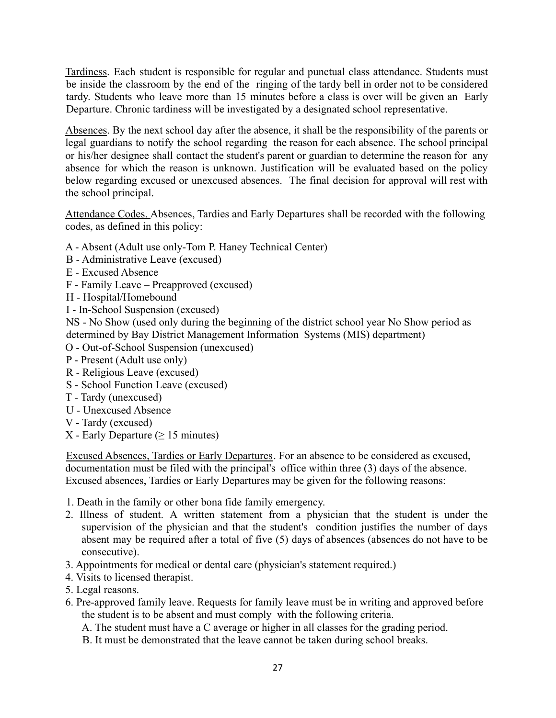Tardiness. Each student is responsible for regular and punctual class attendance. Students must be inside the classroom by the end of the ringing of the tardy bell in order not to be considered tardy. Students who leave more than 15 minutes before a class is over will be given an Early Departure. Chronic tardiness will be investigated by a designated school representative.

Absences. By the next school day after the absence, it shall be the responsibility of the parents or legal guardians to notify the school regarding the reason for each absence. The school principal or his/her designee shall contact the student's parent or guardian to determine the reason for any absence for which the reason is unknown. Justification will be evaluated based on the policy below regarding excused or unexcused absences. The final decision for approval will rest with the school principal.

Attendance Codes. Absences, Tardies and Early Departures shall be recorded with the following codes, as defined in this policy:

- A Absent (Adult use only-Tom P. Haney Technical Center)
- B Administrative Leave (excused)
- E Excused Absence
- F Family Leave Preapproved (excused)
- H Hospital/Homebound
- I In-School Suspension (excused)

NS - No Show (used only during the beginning of the district school year No Show period as determined by Bay District Management Information Systems (MIS) department)

- O Out-of-School Suspension (unexcused)
- P Present (Adult use only)
- R Religious Leave (excused)
- S School Function Leave (excused)
- T Tardy (unexcused)
- U Unexcused Absence
- V Tardy (excused)
- X Early Departure ( $\geq$  15 minutes)

Excused Absences, Tardies or Early Departures. For an absence to be considered as excused, documentation must be filed with the principal's office within three (3) days of the absence. Excused absences, Tardies or Early Departures may be given for the following reasons:

- 1. Death in the family or other bona fide family emergency.
- 2. Illness of student. A written statement from a physician that the student is under the supervision of the physician and that the student's condition justifies the number of days absent may be required after a total of five (5) days of absences (absences do not have to be consecutive).
- 3. Appointments for medical or dental care (physician's statement required.)
- 4. Visits to licensed therapist.
- 5. Legal reasons.
- 6. Pre-approved family leave. Requests for family leave must be in writing and approved before the student is to be absent and must comply with the following criteria.
	- A. The student must have a C average or higher in all classes for the grading period.
	- B. It must be demonstrated that the leave cannot be taken during school breaks.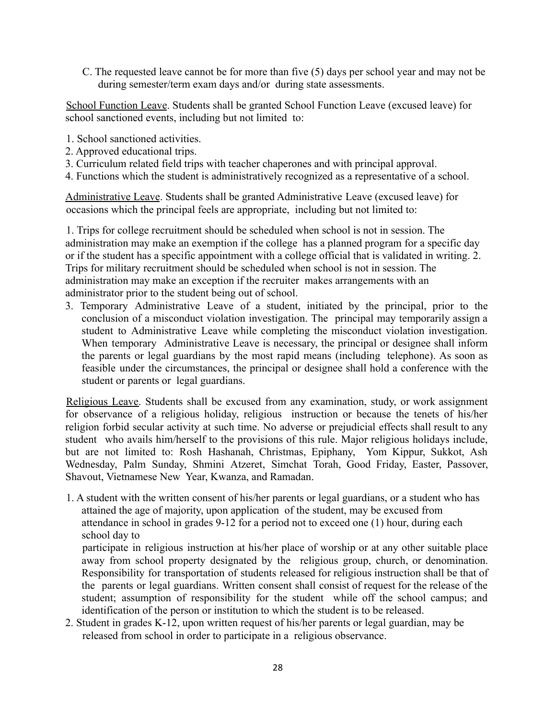C. The requested leave cannot be for more than five (5) days per school year and may not be during semester/term exam days and/or during state assessments.

School Function Leave. Students shall be granted School Function Leave (excused leave) for school sanctioned events, including but not limited to:

- 1. School sanctioned activities.
- 2. Approved educational trips.
- 3. Curriculum related field trips with teacher chaperones and with principal approval.
- 4. Functions which the student is administratively recognized as a representative of a school.

Administrative Leave. Students shall be granted Administrative Leave (excused leave) for occasions which the principal feels are appropriate, including but not limited to:

1. Trips for college recruitment should be scheduled when school is not in session. The administration may make an exemption if the college has a planned program for a specific day or if the student has a specific appointment with a college official that is validated in writing. 2. Trips for military recruitment should be scheduled when school is not in session. The administration may make an exception if the recruiter makes arrangements with an administrator prior to the student being out of school.

3. Temporary Administrative Leave of a student, initiated by the principal, prior to the conclusion of a misconduct violation investigation. The principal may temporarily assign a student to Administrative Leave while completing the misconduct violation investigation. When temporary Administrative Leave is necessary, the principal or designee shall inform the parents or legal guardians by the most rapid means (including telephone). As soon as feasible under the circumstances, the principal or designee shall hold a conference with the student or parents or legal guardians.

Religious Leave. Students shall be excused from any examination, study, or work assignment for observance of a religious holiday, religious instruction or because the tenets of his/her religion forbid secular activity at such time. No adverse or prejudicial effects shall result to any student who avails him/herself to the provisions of this rule. Major religious holidays include, but are not limited to: Rosh Hashanah, Christmas, Epiphany, Yom Kippur, Sukkot, Ash Wednesday, Palm Sunday, Shmini Atzeret, Simchat Torah, Good Friday, Easter, Passover, Shavout, Vietnamese New Year, Kwanza, and Ramadan.

1. A student with the written consent of his/her parents or legal guardians, or a student who has attained the age of majority, upon application of the student, may be excused from attendance in school in grades 9-12 for a period not to exceed one (1) hour, during each school day to

participate in religious instruction at his/her place of worship or at any other suitable place away from school property designated by the religious group, church, or denomination. Responsibility for transportation of students released for religious instruction shall be that of the parents or legal guardians. Written consent shall consist of request for the release of the student; assumption of responsibility for the student while off the school campus; and identification of the person or institution to which the student is to be released.

2. Student in grades K-12, upon written request of his/her parents or legal guardian, may be released from school in order to participate in a religious observance.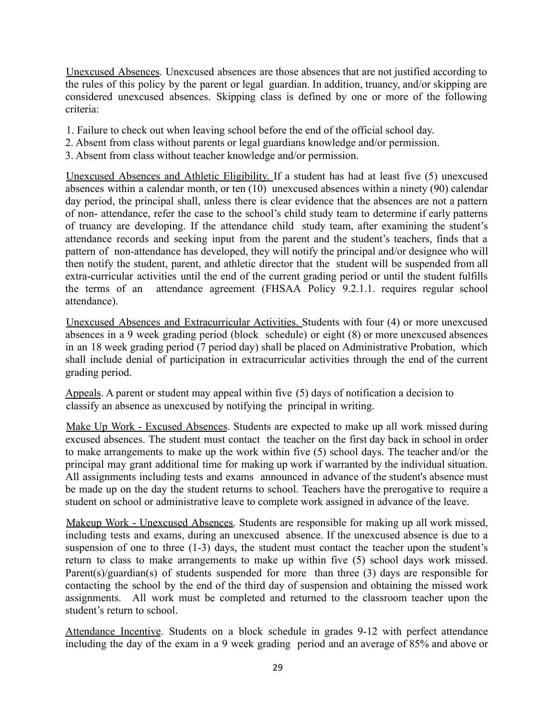Unexcused Absences. Unexcused absences are those absences that are not justified according to the rules of this policy by the parent or legal guardian. In addition, truancy, and/or skipping are considered unexcused absences. Skipping class is defined by one or more of the following criteria:

- 1. Failure to check out when leaving school before the end of the official school day.
- 2. Absent from class without parents or legal guardians knowledge and/or permission.
- 3. Absent from class without teacher knowledge and/or permission.

Unexcused Absences and Athletic Eligibility. If a student has had at least five (5) unexcused absences within a calendar month, or ten (10) unexcused absences within a ninety (90) calendar day period, the principal shall, unless there is clear evidence that the absences are not a pattern of non- attendance, refer the case to the school's child study team to determine if early patterns of truancy are developing. If the attendance child study team, after examining the student's attendance records and seeking input from the parent and the student's teachers, finds that a pattern of non-attendance has developed, they will notify the principal and/or designee who will then notify the student, parent, and athletic director that the student will be suspended from all extra-curricular activities until the end of the current grading period or until the student fulfills the terms of an attendance agreement (FHSAA Policy 9.2.1.1. requires regular school attendance).

Unexcused Absences and Extracurricular Activities. Students with four (4) or more unexcused absences in a 9 week grading period (block schedule) or eight (8) or more unexcused absences in an 18 week grading period (7 period day) shall be placed on Administrative Probation, which shall include denial of participation in extracurricular activities through the end of the current grading period.

Appeals. A parent or student may appeal within five (5) days of notification a decision to classify an absence as unexcused by notifying the principal in writing.

Make Up Work - Excused Absences. Students are expected to make up all work missed during excused absences. The student must contact the teacher on the first day back in school in order to make arrangements to make up the work within five (5) school days. The teacher and/or the principal may grant additional time for making up work if warranted by the individual situation. All assignments including tests and exams announced in advance of the student's absence must be made up on the day the student returns to school. Teachers have the prerogative to require a student on school or administrative leave to complete work assigned in advance of the leave.

Makeup Work - Unexcused Absences. Students are responsible for making up all work missed, including tests and exams, during an unexcused absence. If the unexcused absence is due to a suspension of one to three (1-3) days, the student must contact the teacher upon the student's return to class to make arrangements to make up within five (5) school days work missed. Parent(s)/guardian(s) of students suspended for more than three (3) days are responsible for contacting the school by the end of the third day of suspension and obtaining the missed work assignments. All work must be completed and returned to the classroom teacher upon the student's return to school.

Attendance Incentive. Students on a block schedule in grades 9-12 with perfect attendance including the day of the exam in a 9 week grading period and an average of 85% and above or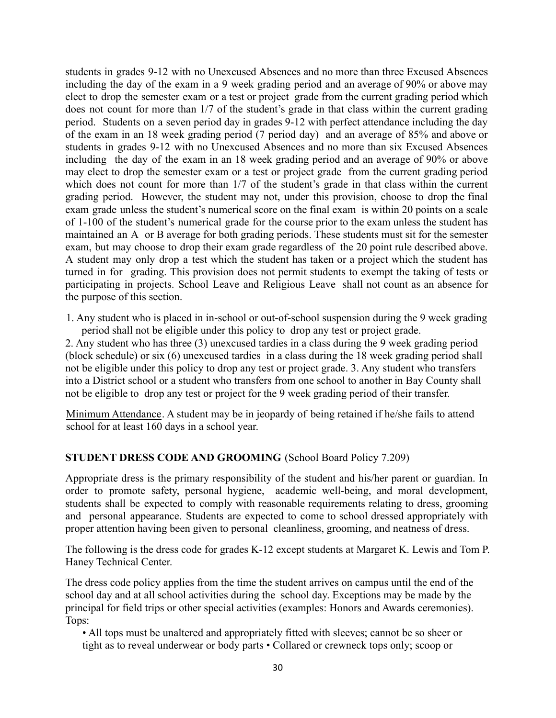students in grades 9-12 with no Unexcused Absences and no more than three Excused Absences including the day of the exam in a 9 week grading period and an average of 90% or above may elect to drop the semester exam or a test or project grade from the current grading period which does not count for more than 1/7 of the student's grade in that class within the current grading period. Students on a seven period day in grades 9-12 with perfect attendance including the day of the exam in an 18 week grading period (7 period day) and an average of 85% and above or students in grades 9-12 with no Unexcused Absences and no more than six Excused Absences including the day of the exam in an 18 week grading period and an average of 90% or above may elect to drop the semester exam or a test or project grade from the current grading period which does not count for more than  $1/7$  of the student's grade in that class within the current grading period. However, the student may not, under this provision, choose to drop the final exam grade unless the student's numerical score on the final exam is within 20 points on a scale of 1-100 of the student's numerical grade for the course prior to the exam unless the student has maintained an A or B average for both grading periods. These students must sit for the semester exam, but may choose to drop their exam grade regardless of the 20 point rule described above. A student may only drop a test which the student has taken or a project which the student has turned in for grading. This provision does not permit students to exempt the taking of tests or participating in projects. School Leave and Religious Leave shall not count as an absence for the purpose of this section.

1. Any student who is placed in in-school or out-of-school suspension during the 9 week grading period shall not be eligible under this policy to drop any test or project grade.

2. Any student who has three (3) unexcused tardies in a class during the 9 week grading period (block schedule) or six (6) unexcused tardies in a class during the 18 week grading period shall not be eligible under this policy to drop any test or project grade. 3. Any student who transfers into a District school or a student who transfers from one school to another in Bay County shall not be eligible to drop any test or project for the 9 week grading period of their transfer.

Minimum Attendance. A student may be in jeopardy of being retained if he/she fails to attend school for at least 160 days in a school year.

## **STUDENT DRESS CODE AND GROOMING** (School Board Policy 7.209)

Appropriate dress is the primary responsibility of the student and his/her parent or guardian. In order to promote safety, personal hygiene, academic well-being, and moral development, students shall be expected to comply with reasonable requirements relating to dress, grooming and personal appearance. Students are expected to come to school dressed appropriately with proper attention having been given to personal cleanliness, grooming, and neatness of dress.

The following is the dress code for grades K-12 except students at Margaret K. Lewis and Tom P. Haney Technical Center.

The dress code policy applies from the time the student arrives on campus until the end of the school day and at all school activities during the school day. Exceptions may be made by the principal for field trips or other special activities (examples: Honors and Awards ceremonies). Tops:

• All tops must be unaltered and appropriately fitted with sleeves; cannot be so sheer or tight as to reveal underwear or body parts • Collared or crewneck tops only; scoop or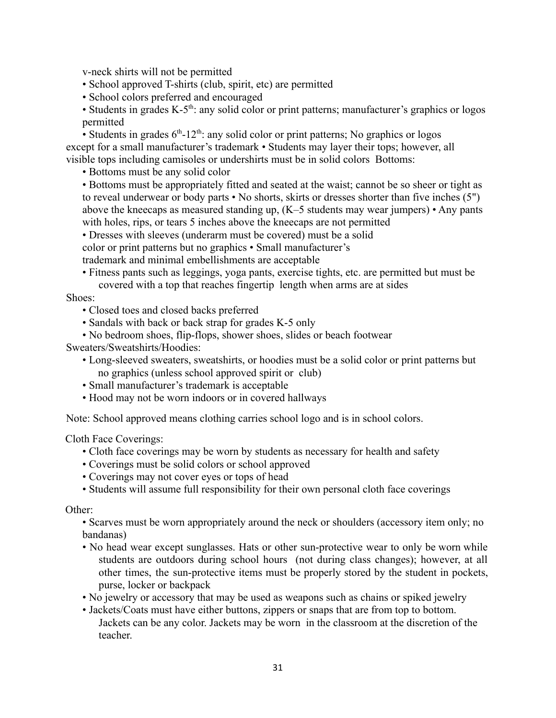v-neck shirts will not be permitted

• School approved T-shirts (club, spirit, etc) are permitted

- School colors preferred and encouraged
- Students in grades  $K-5<sup>th</sup>$ : any solid color or print patterns; manufacturer's graphics or logos permitted

• Students in grades  $6<sup>th</sup> - 12<sup>th</sup>$ : any solid color or print patterns; No graphics or logos except for a small manufacturer's trademark • Students may layer their tops; however, all visible tops including camisoles or undershirts must be in solid colors Bottoms:

• Bottoms must be any solid color

• Bottoms must be appropriately fitted and seated at the waist; cannot be so sheer or tight as to reveal underwear or body parts • No shorts, skirts or dresses shorter than five inches (5") above the kneecaps as measured standing up, (K–5 students may wear jumpers) • Any pants with holes, rips, or tears 5 inches above the kneecaps are not permitted

• Dresses with sleeves (underarm must be covered) must be a solid color or print patterns but no graphics • Small manufacturer's trademark and minimal embellishments are acceptable

• Fitness pants such as leggings, yoga pants, exercise tights, etc. are permitted but must be covered with a top that reaches fingertip length when arms are at sides

#### Shoes:

- Closed toes and closed backs preferred
- Sandals with back or back strap for grades K-5 only
- No bedroom shoes, flip-flops, shower shoes, slides or beach footwear

Sweaters/Sweatshirts/Hoodies:

- Long-sleeved sweaters, sweatshirts, or hoodies must be a solid color or print patterns but no graphics (unless school approved spirit or club)
- Small manufacturer's trademark is acceptable
- Hood may not be worn indoors or in covered hallways

Note: School approved means clothing carries school logo and is in school colors.

Cloth Face Coverings:

- Cloth face coverings may be worn by students as necessary for health and safety
- Coverings must be solid colors or school approved
- Coverings may not cover eyes or tops of head
- Students will assume full responsibility for their own personal cloth face coverings

#### Other:

- Scarves must be worn appropriately around the neck or shoulders (accessory item only; no bandanas)
- No head wear except sunglasses. Hats or other sun-protective wear to only be worn while students are outdoors during school hours (not during class changes); however, at all other times, the sun-protective items must be properly stored by the student in pockets, purse, locker or backpack
- No jewelry or accessory that may be used as weapons such as chains or spiked jewelry
- Jackets/Coats must have either buttons, zippers or snaps that are from top to bottom. Jackets can be any color. Jackets may be worn in the classroom at the discretion of the teacher.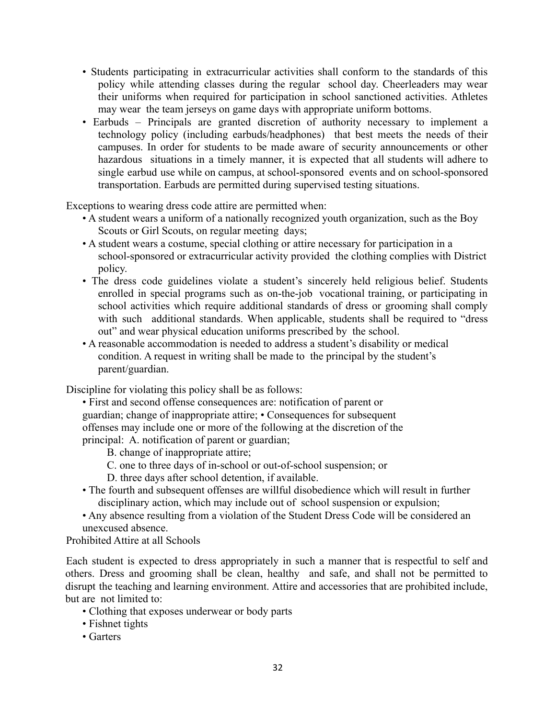- Students participating in extracurricular activities shall conform to the standards of this policy while attending classes during the regular school day. Cheerleaders may wear their uniforms when required for participation in school sanctioned activities. Athletes may wear the team jerseys on game days with appropriate uniform bottoms.
- Earbuds Principals are granted discretion of authority necessary to implement a technology policy (including earbuds/headphones) that best meets the needs of their campuses. In order for students to be made aware of security announcements or other hazardous situations in a timely manner, it is expected that all students will adhere to single earbud use while on campus, at school-sponsored events and on school-sponsored transportation. Earbuds are permitted during supervised testing situations.

Exceptions to wearing dress code attire are permitted when:

- A student wears a uniform of a nationally recognized youth organization, such as the Boy Scouts or Girl Scouts, on regular meeting days;
- A student wears a costume, special clothing or attire necessary for participation in a school-sponsored or extracurricular activity provided the clothing complies with District policy.
- The dress code guidelines violate a student's sincerely held religious belief. Students enrolled in special programs such as on-the-job vocational training, or participating in school activities which require additional standards of dress or grooming shall comply with such additional standards. When applicable, students shall be required to "dress out" and wear physical education uniforms prescribed by the school.
- A reasonable accommodation is needed to address a student's disability or medical condition. A request in writing shall be made to the principal by the student's parent/guardian.

Discipline for violating this policy shall be as follows:

- First and second offense consequences are: notification of parent or guardian; change of inappropriate attire; • Consequences for subsequent offenses may include one or more of the following at the discretion of the principal: A. notification of parent or guardian;
	- B. change of inappropriate attire;
	- C. one to three days of in-school or out-of-school suspension; or
	- D. three days after school detention, if available.
- The fourth and subsequent offenses are willful disobedience which will result in further disciplinary action, which may include out of school suspension or expulsion;
- Any absence resulting from a violation of the Student Dress Code will be considered an unexcused absence.

Prohibited Attire at all Schools

Each student is expected to dress appropriately in such a manner that is respectful to self and others. Dress and grooming shall be clean, healthy and safe, and shall not be permitted to disrupt the teaching and learning environment. Attire and accessories that are prohibited include, but are not limited to:

- Clothing that exposes underwear or body parts
- Fishnet tights
- Garters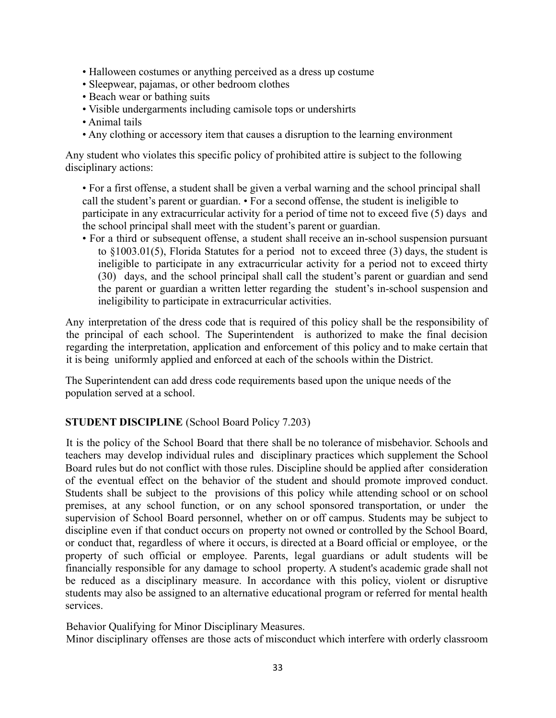- Halloween costumes or anything perceived as a dress up costume
- Sleepwear, pajamas, or other bedroom clothes
- Beach wear or bathing suits
- Visible undergarments including camisole tops or undershirts
- Animal tails
- Any clothing or accessory item that causes a disruption to the learning environment

Any student who violates this specific policy of prohibited attire is subject to the following disciplinary actions:

• For a first offense, a student shall be given a verbal warning and the school principal shall call the student's parent or guardian. • For a second offense, the student is ineligible to participate in any extracurricular activity for a period of time not to exceed five (5) days and the school principal shall meet with the student's parent or guardian.

• For a third or subsequent offense, a student shall receive an in-school suspension pursuant to §1003.01(5), Florida Statutes for a period not to exceed three (3) days, the student is ineligible to participate in any extracurricular activity for a period not to exceed thirty (30) days, and the school principal shall call the student's parent or guardian and send the parent or guardian a written letter regarding the student's in-school suspension and ineligibility to participate in extracurricular activities.

Any interpretation of the dress code that is required of this policy shall be the responsibility of the principal of each school. The Superintendent is authorized to make the final decision regarding the interpretation, application and enforcement of this policy and to make certain that it is being uniformly applied and enforced at each of the schools within the District.

The Superintendent can add dress code requirements based upon the unique needs of the population served at a school.

## **STUDENT DISCIPLINE** (School Board Policy 7.203)

It is the policy of the School Board that there shall be no tolerance of misbehavior. Schools and teachers may develop individual rules and disciplinary practices which supplement the School Board rules but do not conflict with those rules. Discipline should be applied after consideration of the eventual effect on the behavior of the student and should promote improved conduct. Students shall be subject to the provisions of this policy while attending school or on school premises, at any school function, or on any school sponsored transportation, or under the supervision of School Board personnel, whether on or off campus. Students may be subject to discipline even if that conduct occurs on property not owned or controlled by the School Board, or conduct that, regardless of where it occurs, is directed at a Board official or employee, or the property of such official or employee. Parents, legal guardians or adult students will be financially responsible for any damage to school property. A student's academic grade shall not be reduced as a disciplinary measure. In accordance with this policy, violent or disruptive students may also be assigned to an alternative educational program or referred for mental health services.

Behavior Qualifying for Minor Disciplinary Measures.

Minor disciplinary offenses are those acts of misconduct which interfere with orderly classroom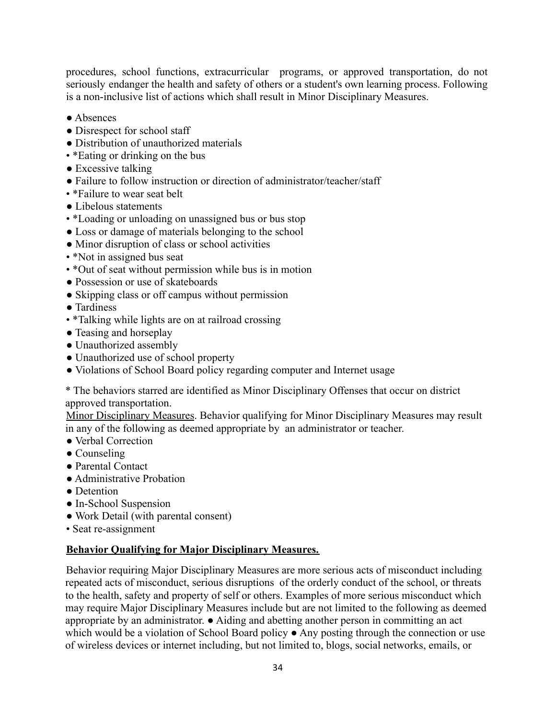procedures, school functions, extracurricular programs, or approved transportation, do not seriously endanger the health and safety of others or a student's own learning process. Following is a non-inclusive list of actions which shall result in Minor Disciplinary Measures.

- Absences
- Disrespect for school staff
- Distribution of unauthorized materials
- \*Eating or drinking on the bus
- Excessive talking
- Failure to follow instruction or direction of administrator/teacher/staff
- \*Failure to wear seat belt
- Libelous statements
- \*Loading or unloading on unassigned bus or bus stop
- Loss or damage of materials belonging to the school
- Minor disruption of class or school activities
- \*Not in assigned bus seat
- \*Out of seat without permission while bus is in motion
- Possession or use of skateboards
- Skipping class or off campus without permission
- Tardiness
- \*Talking while lights are on at railroad crossing
- Teasing and horseplay
- Unauthorized assembly
- Unauthorized use of school property
- Violations of School Board policy regarding computer and Internet usage

\* The behaviors starred are identified as Minor Disciplinary Offenses that occur on district approved transportation.

Minor Disciplinary Measures. Behavior qualifying for Minor Disciplinary Measures may result in any of the following as deemed appropriate by an administrator or teacher.

- Verbal Correction
- Counseling
- Parental Contact
- Administrative Probation
- Detention
- In-School Suspension
- Work Detail (with parental consent)
- Seat re-assignment

## **Behavior Qualifying for Major Disciplinary Measures.**

Behavior requiring Major Disciplinary Measures are more serious acts of misconduct including repeated acts of misconduct, serious disruptions of the orderly conduct of the school, or threats to the health, safety and property of self or others. Examples of more serious misconduct which may require Major Disciplinary Measures include but are not limited to the following as deemed appropriate by an administrator. ● Aiding and abetting another person in committing an act which would be a violation of School Board policy ● Any posting through the connection or use of wireless devices or internet including, but not limited to, blogs, social networks, emails, or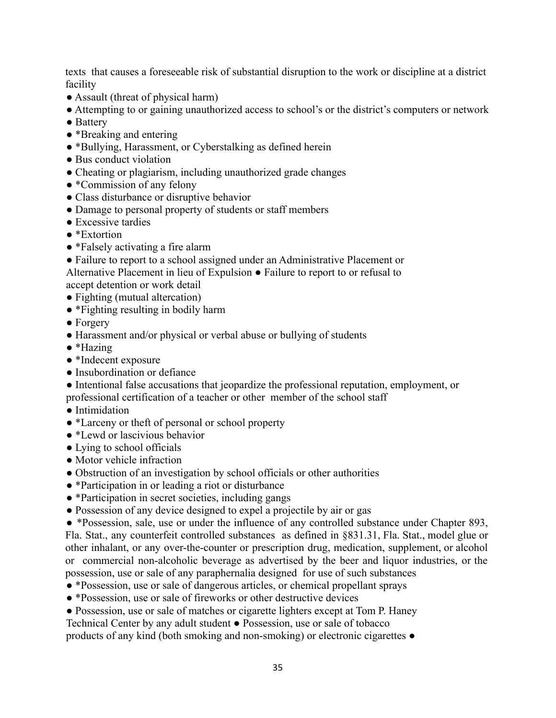texts that causes a foreseeable risk of substantial disruption to the work or discipline at a district facility

- Assault (threat of physical harm)
- Attempting to or gaining unauthorized access to school's or the district's computers or network
- Battery
- \*Breaking and entering
- \*Bullying, Harassment, or Cyberstalking as defined herein
- Bus conduct violation
- Cheating or plagiarism, including unauthorized grade changes
- \*Commission of any felony
- Class disturbance or disruptive behavior
- Damage to personal property of students or staff members
- Excessive tardies
- \*Extortion
- \*Falsely activating a fire alarm
- Failure to report to a school assigned under an Administrative Placement or Alternative Placement in lieu of Expulsion ● Failure to report to or refusal to

accept detention or work detail

- Fighting (mutual altercation)
- \*Fighting resulting in bodily harm
- Forgery
- Harassment and/or physical or verbal abuse or bullying of students
- \*Hazing
- \*Indecent exposure
- Insubordination or defiance
- Intentional false accusations that jeopardize the professional reputation, employment, or professional certification of a teacher or other member of the school staff
- Intimidation
- \*Larceny or theft of personal or school property
- <sup>\*</sup>Lewd or lascivious behavior
- Lying to school officials
- Motor vehicle infraction
- Obstruction of an investigation by school officials or other authorities
- \*Participation in or leading a riot or disturbance
- \*Participation in secret societies, including gangs
- Possession of any device designed to expel a projectile by air or gas
- \*Possession, sale, use or under the influence of any controlled substance under Chapter 893, Fla. Stat., any counterfeit controlled substances as defined in §831.31, Fla. Stat., model glue or other inhalant, or any over-the-counter or prescription drug, medication, supplement, or alcohol or commercial non-alcoholic beverage as advertised by the beer and liquor industries, or the possession, use or sale of any paraphernalia designed for use of such substances
- \*Possession, use or sale of dangerous articles, or chemical propellant sprays
- \*Possession, use or sale of fireworks or other destructive devices
- Possession, use or sale of matches or cigarette lighters except at Tom P. Haney
- Technical Center by any adult student Possession, use or sale of tobacco

products of any kind (both smoking and non-smoking) or electronic cigarettes ●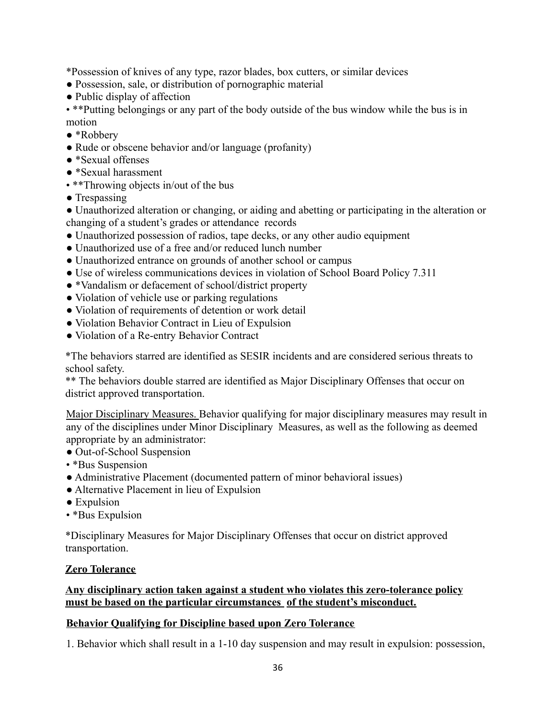\*Possession of knives of any type, razor blades, box cutters, or similar devices

- Possession, sale, or distribution of pornographic material
- Public display of affection

• \*\*Putting belongings or any part of the body outside of the bus window while the bus is in motion

- \*Robbery
- Rude or obscene behavior and/or language (profanity)
- \*Sexual offenses
- \*Sexual harassment
- \*\*Throwing objects in/out of the bus
- Trespassing

● Unauthorized alteration or changing, or aiding and abetting or participating in the alteration or changing of a student's grades or attendance records

- Unauthorized possession of radios, tape decks, or any other audio equipment
- Unauthorized use of a free and/or reduced lunch number
- Unauthorized entrance on grounds of another school or campus
- Use of wireless communications devices in violation of School Board Policy 7.311
- \*Vandalism or defacement of school/district property
- Violation of vehicle use or parking regulations
- Violation of requirements of detention or work detail
- Violation Behavior Contract in Lieu of Expulsion
- Violation of a Re-entry Behavior Contract

\*The behaviors starred are identified as SESIR incidents and are considered serious threats to school safety.

\*\* The behaviors double starred are identified as Major Disciplinary Offenses that occur on district approved transportation.

Major Disciplinary Measures. Behavior qualifying for major disciplinary measures may result in any of the disciplines under Minor Disciplinary Measures, as well as the following as deemed appropriate by an administrator:

- Out-of-School Suspension
- \*Bus Suspension
- Administrative Placement (documented pattern of minor behavioral issues)
- Alternative Placement in lieu of Expulsion
- Expulsion
- \*Bus Expulsion

\*Disciplinary Measures for Major Disciplinary Offenses that occur on district approved transportation.

## **Zero Tolerance**

## **Any disciplinary action taken against a student who violates this zero-tolerance policy must be based on the particular circumstances of the student's misconduct.**

## **Behavior Qualifying for Discipline based upon Zero Tolerance**

1. Behavior which shall result in a 1-10 day suspension and may result in expulsion: possession,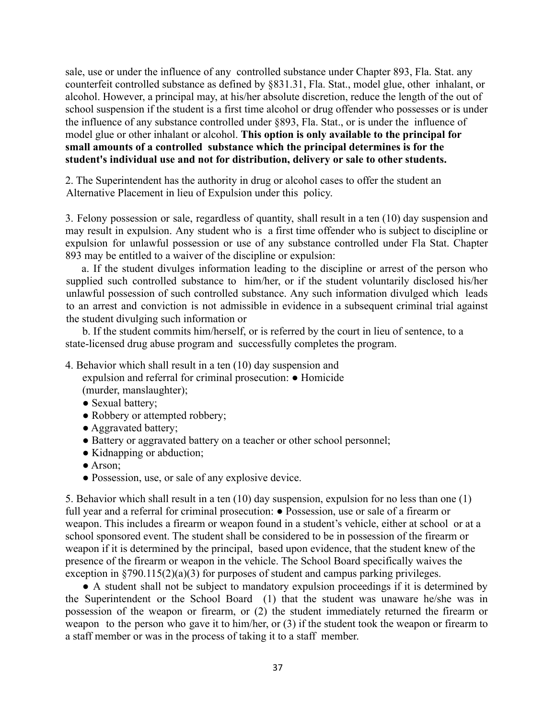sale, use or under the influence of any controlled substance under Chapter 893, Fla. Stat. any counterfeit controlled substance as defined by §831.31, Fla. Stat., model glue, other inhalant, or alcohol. However, a principal may, at his/her absolute discretion, reduce the length of the out of school suspension if the student is a first time alcohol or drug offender who possesses or is under the influence of any substance controlled under §893, Fla. Stat., or is under the influence of model glue or other inhalant or alcohol. **This option is only available to the principal for small amounts of a controlled substance which the principal determines is for the student's individual use and not for distribution, delivery or sale to other students.**

2. The Superintendent has the authority in drug or alcohol cases to offer the student an Alternative Placement in lieu of Expulsion under this policy.

3. Felony possession or sale, regardless of quantity, shall result in a ten (10) day suspension and may result in expulsion. Any student who is a first time offender who is subject to discipline or expulsion for unlawful possession or use of any substance controlled under Fla Stat. Chapter 893 may be entitled to a waiver of the discipline or expulsion:

a. If the student divulges information leading to the discipline or arrest of the person who supplied such controlled substance to him/her, or if the student voluntarily disclosed his/her unlawful possession of such controlled substance. Any such information divulged which leads to an arrest and conviction is not admissible in evidence in a subsequent criminal trial against the student divulging such information or

b. If the student commits him/herself, or is referred by the court in lieu of sentence, to a state-licensed drug abuse program and successfully completes the program.

- 4. Behavior which shall result in a ten (10) day suspension and expulsion and referral for criminal prosecution: ● Homicide (murder, manslaughter);
	- Sexual battery;
	- Robbery or attempted robbery;
	- Aggravated battery;
	- Battery or aggravated battery on a teacher or other school personnel;
	- Kidnapping or abduction;
	- Arson;
	- Possession, use, or sale of any explosive device.

5. Behavior which shall result in a ten (10) day suspension, expulsion for no less than one (1) full year and a referral for criminal prosecution:  $\bullet$  Possession, use or sale of a firearm or weapon. This includes a firearm or weapon found in a student's vehicle, either at school or at a school sponsored event. The student shall be considered to be in possession of the firearm or weapon if it is determined by the principal, based upon evidence, that the student knew of the presence of the firearm or weapon in the vehicle. The School Board specifically waives the exception in §790.115(2)(a)(3) for purposes of student and campus parking privileges.

● A student shall not be subject to mandatory expulsion proceedings if it is determined by the Superintendent or the School Board (1) that the student was unaware he/she was in possession of the weapon or firearm, or (2) the student immediately returned the firearm or weapon to the person who gave it to him/her, or (3) if the student took the weapon or firearm to a staff member or was in the process of taking it to a staff member.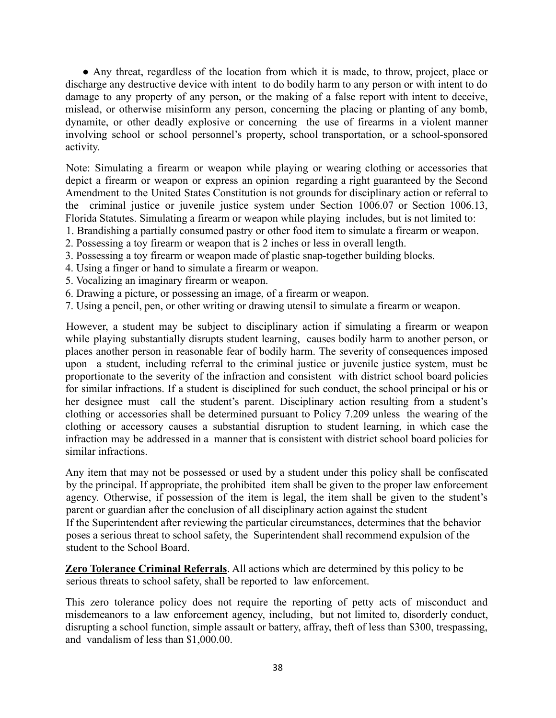● Any threat, regardless of the location from which it is made, to throw, project, place or discharge any destructive device with intent to do bodily harm to any person or with intent to do damage to any property of any person, or the making of a false report with intent to deceive, mislead, or otherwise misinform any person, concerning the placing or planting of any bomb, dynamite, or other deadly explosive or concerning the use of firearms in a violent manner involving school or school personnel's property, school transportation, or a school-sponsored activity.

Note: Simulating a firearm or weapon while playing or wearing clothing or accessories that depict a firearm or weapon or express an opinion regarding a right guaranteed by the Second Amendment to the United States Constitution is not grounds for disciplinary action or referral to the criminal justice or juvenile justice system under Section 1006.07 or Section 1006.13, Florida Statutes. Simulating a firearm or weapon while playing includes, but is not limited to:

- 1. Brandishing a partially consumed pastry or other food item to simulate a firearm or weapon.
- 2. Possessing a toy firearm or weapon that is 2 inches or less in overall length.
- 3. Possessing a toy firearm or weapon made of plastic snap-together building blocks.
- 4. Using a finger or hand to simulate a firearm or weapon.
- 5. Vocalizing an imaginary firearm or weapon.
- 6. Drawing a picture, or possessing an image, of a firearm or weapon.
- 7. Using a pencil, pen, or other writing or drawing utensil to simulate a firearm or weapon.

However, a student may be subject to disciplinary action if simulating a firearm or weapon while playing substantially disrupts student learning, causes bodily harm to another person, or places another person in reasonable fear of bodily harm. The severity of consequences imposed upon a student, including referral to the criminal justice or juvenile justice system, must be proportionate to the severity of the infraction and consistent with district school board policies for similar infractions. If a student is disciplined for such conduct, the school principal or his or her designee must call the student's parent. Disciplinary action resulting from a student's clothing or accessories shall be determined pursuant to Policy 7.209 unless the wearing of the clothing or accessory causes a substantial disruption to student learning, in which case the infraction may be addressed in a manner that is consistent with district school board policies for similar infractions.

Any item that may not be possessed or used by a student under this policy shall be confiscated by the principal. If appropriate, the prohibited item shall be given to the proper law enforcement agency. Otherwise, if possession of the item is legal, the item shall be given to the student's parent or guardian after the conclusion of all disciplinary action against the student If the Superintendent after reviewing the particular circumstances, determines that the behavior poses a serious threat to school safety, the Superintendent shall recommend expulsion of the student to the School Board.

**Zero Tolerance Criminal Referrals**. All actions which are determined by this policy to be serious threats to school safety, shall be reported to law enforcement.

This zero tolerance policy does not require the reporting of petty acts of misconduct and misdemeanors to a law enforcement agency, including, but not limited to, disorderly conduct, disrupting a school function, simple assault or battery, affray, theft of less than \$300, trespassing, and vandalism of less than \$1,000.00.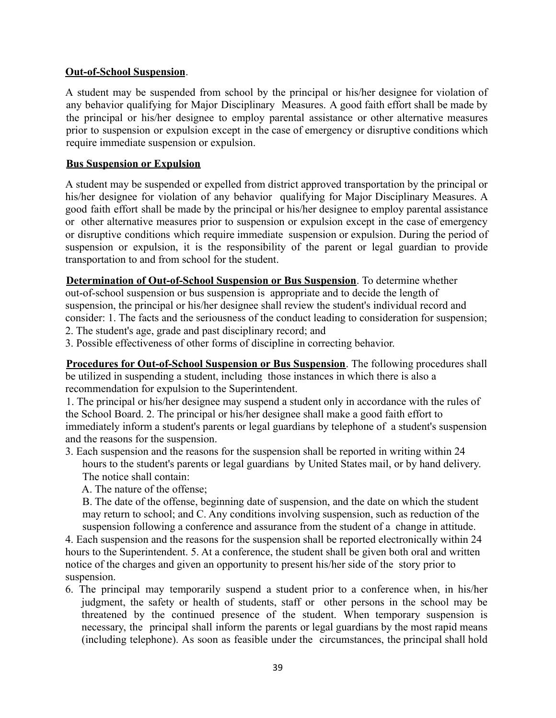#### **Out-of-School Suspension**.

A student may be suspended from school by the principal or his/her designee for violation of any behavior qualifying for Major Disciplinary Measures. A good faith effort shall be made by the principal or his/her designee to employ parental assistance or other alternative measures prior to suspension or expulsion except in the case of emergency or disruptive conditions which require immediate suspension or expulsion.

#### **Bus Suspension or Expulsion**

A student may be suspended or expelled from district approved transportation by the principal or his/her designee for violation of any behavior qualifying for Major Disciplinary Measures. A good faith effort shall be made by the principal or his/her designee to employ parental assistance or other alternative measures prior to suspension or expulsion except in the case of emergency or disruptive conditions which require immediate suspension or expulsion. During the period of suspension or expulsion, it is the responsibility of the parent or legal guardian to provide transportation to and from school for the student.

**Determination of Out-of-School Suspension or Bus Suspension**. To determine whether out-of-school suspension or bus suspension is appropriate and to decide the length of suspension, the principal or his/her designee shall review the student's individual record and consider: 1. The facts and the seriousness of the conduct leading to consideration for suspension;

2. The student's age, grade and past disciplinary record; and

3. Possible effectiveness of other forms of discipline in correcting behavior.

**Procedures for Out-of-School Suspension or Bus Suspension**. The following procedures shall be utilized in suspending a student, including those instances in which there is also a recommendation for expulsion to the Superintendent.

1. The principal or his/her designee may suspend a student only in accordance with the rules of the School Board. 2. The principal or his/her designee shall make a good faith effort to immediately inform a student's parents or legal guardians by telephone of a student's suspension and the reasons for the suspension.

3. Each suspension and the reasons for the suspension shall be reported in writing within 24 hours to the student's parents or legal guardians by United States mail, or by hand delivery. The notice shall contain:

A. The nature of the offense;

B. The date of the offense, beginning date of suspension, and the date on which the student may return to school; and C. Any conditions involving suspension, such as reduction of the suspension following a conference and assurance from the student of a change in attitude.

4. Each suspension and the reasons for the suspension shall be reported electronically within 24 hours to the Superintendent. 5. At a conference, the student shall be given both oral and written notice of the charges and given an opportunity to present his/her side of the story prior to suspension.

6. The principal may temporarily suspend a student prior to a conference when, in his/her judgment, the safety or health of students, staff or other persons in the school may be threatened by the continued presence of the student. When temporary suspension is necessary, the principal shall inform the parents or legal guardians by the most rapid means (including telephone). As soon as feasible under the circumstances, the principal shall hold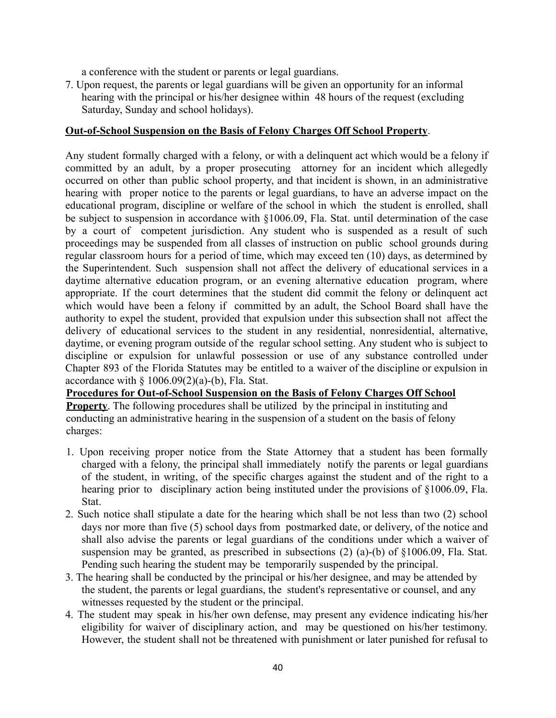a conference with the student or parents or legal guardians.

7. Upon request, the parents or legal guardians will be given an opportunity for an informal hearing with the principal or his/her designee within 48 hours of the request (excluding Saturday, Sunday and school holidays).

#### **Out-of-School Suspension on the Basis of Felony Charges Off School Property**.

Any student formally charged with a felony, or with a delinquent act which would be a felony if committed by an adult, by a proper prosecuting attorney for an incident which allegedly occurred on other than public school property, and that incident is shown, in an administrative hearing with proper notice to the parents or legal guardians, to have an adverse impact on the educational program, discipline or welfare of the school in which the student is enrolled, shall be subject to suspension in accordance with §1006.09, Fla. Stat. until determination of the case by a court of competent jurisdiction. Any student who is suspended as a result of such proceedings may be suspended from all classes of instruction on public school grounds during regular classroom hours for a period of time, which may exceed ten (10) days, as determined by the Superintendent. Such suspension shall not affect the delivery of educational services in a daytime alternative education program, or an evening alternative education program, where appropriate. If the court determines that the student did commit the felony or delinquent act which would have been a felony if committed by an adult, the School Board shall have the authority to expel the student, provided that expulsion under this subsection shall not affect the delivery of educational services to the student in any residential, nonresidential, alternative, daytime, or evening program outside of the regular school setting. Any student who is subject to discipline or expulsion for unlawful possession or use of any substance controlled under Chapter 893 of the Florida Statutes may be entitled to a waiver of the discipline or expulsion in accordance with  $\S$  1006.09(2)(a)-(b), Fla. Stat.

**Procedures for Out-of-School Suspension on the Basis of Felony Charges Off School Property**. The following procedures shall be utilized by the principal in instituting and conducting an administrative hearing in the suspension of a student on the basis of felony charges:

- 1. Upon receiving proper notice from the State Attorney that a student has been formally charged with a felony, the principal shall immediately notify the parents or legal guardians of the student, in writing, of the specific charges against the student and of the right to a hearing prior to disciplinary action being instituted under the provisions of §1006.09, Fla. Stat.
- 2. Such notice shall stipulate a date for the hearing which shall be not less than two (2) school days nor more than five (5) school days from postmarked date, or delivery, of the notice and shall also advise the parents or legal guardians of the conditions under which a waiver of suspension may be granted, as prescribed in subsections (2) (a)-(b) of §1006.09, Fla. Stat. Pending such hearing the student may be temporarily suspended by the principal.
- 3. The hearing shall be conducted by the principal or his/her designee, and may be attended by the student, the parents or legal guardians, the student's representative or counsel, and any witnesses requested by the student or the principal.
- 4. The student may speak in his/her own defense, may present any evidence indicating his/her eligibility for waiver of disciplinary action, and may be questioned on his/her testimony. However, the student shall not be threatened with punishment or later punished for refusal to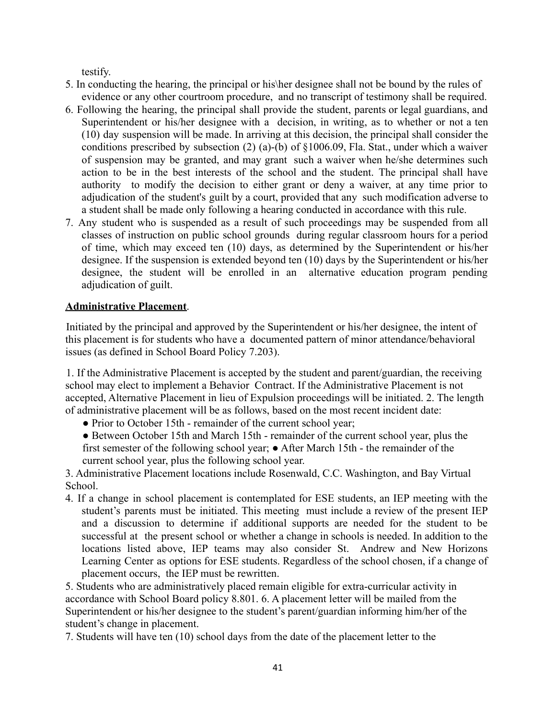testify.

- 5. In conducting the hearing, the principal or his\her designee shall not be bound by the rules of evidence or any other courtroom procedure, and no transcript of testimony shall be required.
- 6. Following the hearing, the principal shall provide the student, parents or legal guardians, and Superintendent or his/her designee with a decision, in writing, as to whether or not a ten (10) day suspension will be made. In arriving at this decision, the principal shall consider the conditions prescribed by subsection (2) (a)-(b) of §1006.09, Fla. Stat., under which a waiver of suspension may be granted, and may grant such a waiver when he/she determines such action to be in the best interests of the school and the student. The principal shall have authority to modify the decision to either grant or deny a waiver, at any time prior to adjudication of the student's guilt by a court, provided that any such modification adverse to a student shall be made only following a hearing conducted in accordance with this rule.
- 7. Any student who is suspended as a result of such proceedings may be suspended from all classes of instruction on public school grounds during regular classroom hours for a period of time, which may exceed ten (10) days, as determined by the Superintendent or his/her designee. If the suspension is extended beyond ten (10) days by the Superintendent or his/her designee, the student will be enrolled in an alternative education program pending adjudication of guilt.

## **Administrative Placement**.

Initiated by the principal and approved by the Superintendent or his/her designee, the intent of this placement is for students who have a documented pattern of minor attendance/behavioral issues (as defined in School Board Policy 7.203).

1. If the Administrative Placement is accepted by the student and parent/guardian, the receiving school may elect to implement a Behavior Contract. If the Administrative Placement is not accepted, Alternative Placement in lieu of Expulsion proceedings will be initiated. 2. The length of administrative placement will be as follows, based on the most recent incident date:

- Prior to October 15th remainder of the current school year;
- Between October 15th and March 15th remainder of the current school year, plus the first semester of the following school year; ● After March 15th - the remainder of the current school year, plus the following school year.

3. Administrative Placement locations include Rosenwald, C.C. Washington, and Bay Virtual School.

4. If a change in school placement is contemplated for ESE students, an IEP meeting with the student's parents must be initiated. This meeting must include a review of the present IEP and a discussion to determine if additional supports are needed for the student to be successful at the present school or whether a change in schools is needed. In addition to the locations listed above, IEP teams may also consider St. Andrew and New Horizons Learning Center as options for ESE students. Regardless of the school chosen, if a change of placement occurs, the IEP must be rewritten.

5. Students who are administratively placed remain eligible for extra-curricular activity in accordance with School Board policy 8.801. 6. A placement letter will be mailed from the Superintendent or his/her designee to the student's parent/guardian informing him/her of the student's change in placement.

7. Students will have ten (10) school days from the date of the placement letter to the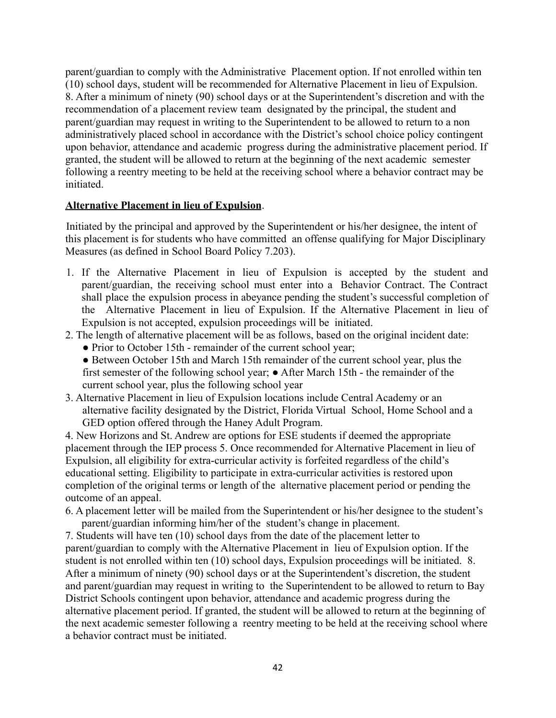parent/guardian to comply with the Administrative Placement option. If not enrolled within ten (10) school days, student will be recommended for Alternative Placement in lieu of Expulsion. 8. After a minimum of ninety (90) school days or at the Superintendent's discretion and with the recommendation of a placement review team designated by the principal, the student and parent/guardian may request in writing to the Superintendent to be allowed to return to a non administratively placed school in accordance with the District's school choice policy contingent upon behavior, attendance and academic progress during the administrative placement period. If granted, the student will be allowed to return at the beginning of the next academic semester following a reentry meeting to be held at the receiving school where a behavior contract may be initiated.

#### **Alternative Placement in lieu of Expulsion**.

Initiated by the principal and approved by the Superintendent or his/her designee, the intent of this placement is for students who have committed an offense qualifying for Major Disciplinary Measures (as defined in School Board Policy 7.203).

- 1. If the Alternative Placement in lieu of Expulsion is accepted by the student and parent/guardian, the receiving school must enter into a Behavior Contract. The Contract shall place the expulsion process in abeyance pending the student's successful completion of the Alternative Placement in lieu of Expulsion. If the Alternative Placement in lieu of Expulsion is not accepted, expulsion proceedings will be initiated.
- 2. The length of alternative placement will be as follows, based on the original incident date:
	- Prior to October 15th remainder of the current school year;

• Between October 15th and March 15th remainder of the current school year, plus the first semester of the following school year; ● After March 15th - the remainder of the current school year, plus the following school year

3. Alternative Placement in lieu of Expulsion locations include Central Academy or an alternative facility designated by the District, Florida Virtual School, Home School and a GED option offered through the Haney Adult Program.

4. New Horizons and St. Andrew are options for ESE students if deemed the appropriate placement through the IEP process 5. Once recommended for Alternative Placement in lieu of Expulsion, all eligibility for extra-curricular activity is forfeited regardless of the child's educational setting. Eligibility to participate in extra-curricular activities is restored upon completion of the original terms or length of the alternative placement period or pending the outcome of an appeal.

6. A placement letter will be mailed from the Superintendent or his/her designee to the student's parent/guardian informing him/her of the student's change in placement.

7. Students will have ten (10) school days from the date of the placement letter to parent/guardian to comply with the Alternative Placement in lieu of Expulsion option. If the student is not enrolled within ten (10) school days, Expulsion proceedings will be initiated. 8. After a minimum of ninety (90) school days or at the Superintendent's discretion, the student and parent/guardian may request in writing to the Superintendent to be allowed to return to Bay District Schools contingent upon behavior, attendance and academic progress during the alternative placement period. If granted, the student will be allowed to return at the beginning of the next academic semester following a reentry meeting to be held at the receiving school where a behavior contract must be initiated.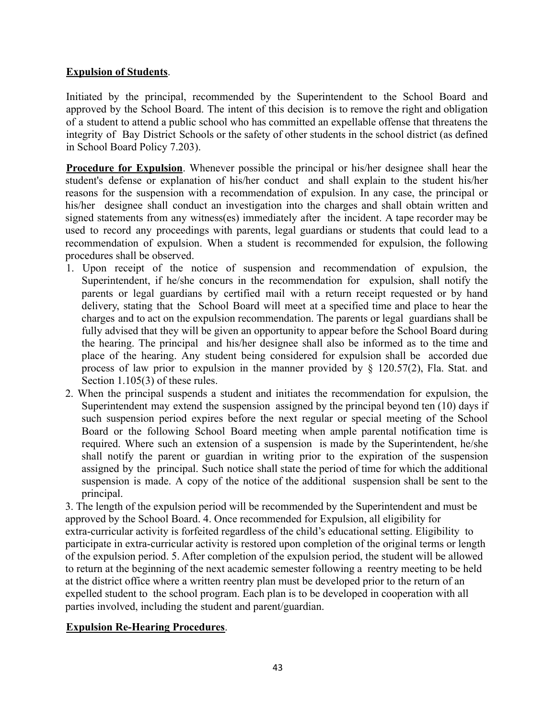## **Expulsion of Students**.

Initiated by the principal, recommended by the Superintendent to the School Board and approved by the School Board. The intent of this decision is to remove the right and obligation of a student to attend a public school who has committed an expellable offense that threatens the integrity of Bay District Schools or the safety of other students in the school district (as defined in School Board Policy 7.203).

**Procedure for Expulsion**. Whenever possible the principal or his/her designee shall hear the student's defense or explanation of his/her conduct and shall explain to the student his/her reasons for the suspension with a recommendation of expulsion. In any case, the principal or his/her designee shall conduct an investigation into the charges and shall obtain written and signed statements from any witness(es) immediately after the incident. A tape recorder may be used to record any proceedings with parents, legal guardians or students that could lead to a recommendation of expulsion. When a student is recommended for expulsion, the following procedures shall be observed.

- 1. Upon receipt of the notice of suspension and recommendation of expulsion, the Superintendent, if he/she concurs in the recommendation for expulsion, shall notify the parents or legal guardians by certified mail with a return receipt requested or by hand delivery, stating that the School Board will meet at a specified time and place to hear the charges and to act on the expulsion recommendation. The parents or legal guardians shall be fully advised that they will be given an opportunity to appear before the School Board during the hearing. The principal and his/her designee shall also be informed as to the time and place of the hearing. Any student being considered for expulsion shall be accorded due process of law prior to expulsion in the manner provided by § 120.57(2), Fla. Stat. and Section 1.105(3) of these rules.
- 2. When the principal suspends a student and initiates the recommendation for expulsion, the Superintendent may extend the suspension assigned by the principal beyond ten (10) days if such suspension period expires before the next regular or special meeting of the School Board or the following School Board meeting when ample parental notification time is required. Where such an extension of a suspension is made by the Superintendent, he/she shall notify the parent or guardian in writing prior to the expiration of the suspension assigned by the principal. Such notice shall state the period of time for which the additional suspension is made. A copy of the notice of the additional suspension shall be sent to the principal.

3. The length of the expulsion period will be recommended by the Superintendent and must be approved by the School Board. 4. Once recommended for Expulsion, all eligibility for extra-curricular activity is forfeited regardless of the child's educational setting. Eligibility to participate in extra-curricular activity is restored upon completion of the original terms or length of the expulsion period. 5. After completion of the expulsion period, the student will be allowed to return at the beginning of the next academic semester following a reentry meeting to be held at the district office where a written reentry plan must be developed prior to the return of an expelled student to the school program. Each plan is to be developed in cooperation with all parties involved, including the student and parent/guardian.

#### **Expulsion Re-Hearing Procedures**.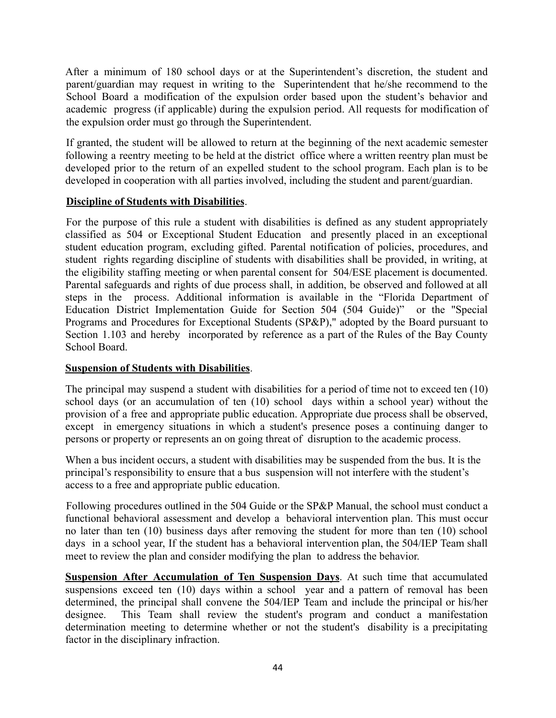After a minimum of 180 school days or at the Superintendent's discretion, the student and parent/guardian may request in writing to the Superintendent that he/she recommend to the School Board a modification of the expulsion order based upon the student's behavior and academic progress (if applicable) during the expulsion period. All requests for modification of the expulsion order must go through the Superintendent.

If granted, the student will be allowed to return at the beginning of the next academic semester following a reentry meeting to be held at the district office where a written reentry plan must be developed prior to the return of an expelled student to the school program. Each plan is to be developed in cooperation with all parties involved, including the student and parent/guardian.

## **Discipline of Students with Disabilities**.

For the purpose of this rule a student with disabilities is defined as any student appropriately classified as 504 or Exceptional Student Education and presently placed in an exceptional student education program, excluding gifted. Parental notification of policies, procedures, and student rights regarding discipline of students with disabilities shall be provided, in writing, at the eligibility staffing meeting or when parental consent for 504/ESE placement is documented. Parental safeguards and rights of due process shall, in addition, be observed and followed at all steps in the process. Additional information is available in the "Florida Department of Education District Implementation Guide for Section 504 (504 Guide)" or the "Special Programs and Procedures for Exceptional Students (SP&P)," adopted by the Board pursuant to Section 1.103 and hereby incorporated by reference as a part of the Rules of the Bay County School Board.

## **Suspension of Students with Disabilities**.

The principal may suspend a student with disabilities for a period of time not to exceed ten (10) school days (or an accumulation of ten (10) school days within a school year) without the provision of a free and appropriate public education. Appropriate due process shall be observed, except in emergency situations in which a student's presence poses a continuing danger to persons or property or represents an on going threat of disruption to the academic process.

When a bus incident occurs, a student with disabilities may be suspended from the bus. It is the principal's responsibility to ensure that a bus suspension will not interfere with the student's access to a free and appropriate public education.

Following procedures outlined in the 504 Guide or the SP&P Manual, the school must conduct a functional behavioral assessment and develop a behavioral intervention plan. This must occur no later than ten (10) business days after removing the student for more than ten (10) school days in a school year, If the student has a behavioral intervention plan, the 504/IEP Team shall meet to review the plan and consider modifying the plan to address the behavior.

**Suspension After Accumulation of Ten Suspension Days**. At such time that accumulated suspensions exceed ten (10) days within a school year and a pattern of removal has been determined, the principal shall convene the 504/IEP Team and include the principal or his/her designee. This Team shall review the student's program and conduct a manifestation determination meeting to determine whether or not the student's disability is a precipitating factor in the disciplinary infraction.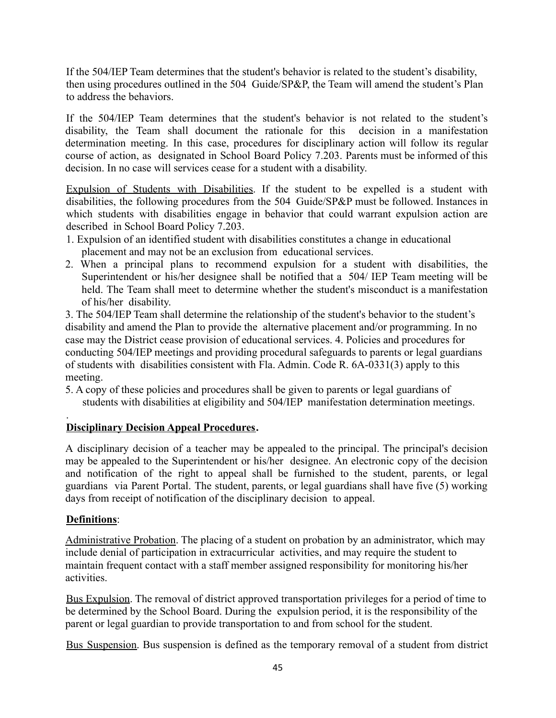If the 504/IEP Team determines that the student's behavior is related to the student's disability, then using procedures outlined in the 504 Guide/SP&P, the Team will amend the student's Plan to address the behaviors.

If the 504/IEP Team determines that the student's behavior is not related to the student's disability, the Team shall document the rationale for this decision in a manifestation determination meeting. In this case, procedures for disciplinary action will follow its regular course of action, as designated in School Board Policy 7.203. Parents must be informed of this decision. In no case will services cease for a student with a disability.

Expulsion of Students with Disabilities. If the student to be expelled is a student with disabilities, the following procedures from the 504 Guide/SP&P must be followed. Instances in which students with disabilities engage in behavior that could warrant expulsion action are described in School Board Policy 7.203.

- 1. Expulsion of an identified student with disabilities constitutes a change in educational placement and may not be an exclusion from educational services.
- 2. When a principal plans to recommend expulsion for a student with disabilities, the Superintendent or his/her designee shall be notified that a 504/ IEP Team meeting will be held. The Team shall meet to determine whether the student's misconduct is a manifestation of his/her disability.

3. The 504/IEP Team shall determine the relationship of the student's behavior to the student's disability and amend the Plan to provide the alternative placement and/or programming. In no case may the District cease provision of educational services. 4. Policies and procedures for conducting 504/IEP meetings and providing procedural safeguards to parents or legal guardians of students with disabilities consistent with Fla. Admin. Code R. 6A-0331(3) apply to this meeting.

5. A copy of these policies and procedures shall be given to parents or legal guardians of students with disabilities at eligibility and 504/IEP manifestation determination meetings.

## **Disciplinary Decision Appeal Procedures.**

A disciplinary decision of a teacher may be appealed to the principal. The principal's decision may be appealed to the Superintendent or his/her designee. An electronic copy of the decision and notification of the right to appeal shall be furnished to the student, parents, or legal guardians via Parent Portal. The student, parents, or legal guardians shall have five (5) working days from receipt of notification of the disciplinary decision to appeal.

## **Definitions**:

.

Administrative Probation. The placing of a student on probation by an administrator, which may include denial of participation in extracurricular activities, and may require the student to maintain frequent contact with a staff member assigned responsibility for monitoring his/her activities.

Bus Expulsion. The removal of district approved transportation privileges for a period of time to be determined by the School Board. During the expulsion period, it is the responsibility of the parent or legal guardian to provide transportation to and from school for the student.

Bus Suspension. Bus suspension is defined as the temporary removal of a student from district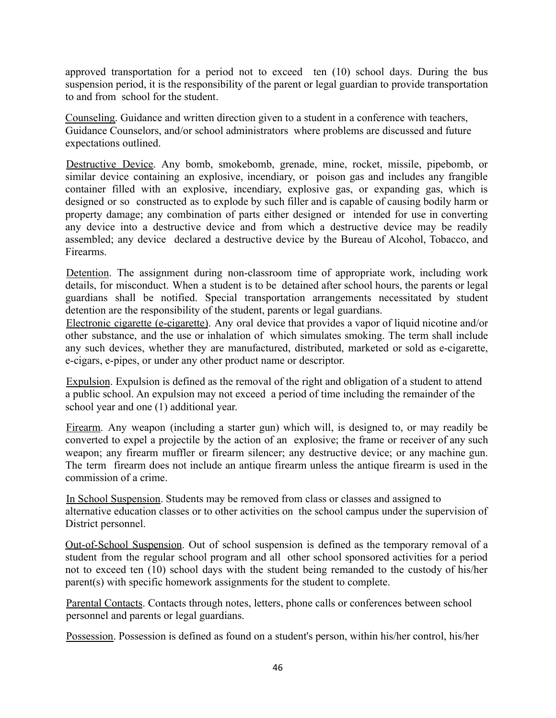approved transportation for a period not to exceed ten (10) school days. During the bus suspension period, it is the responsibility of the parent or legal guardian to provide transportation to and from school for the student.

Counseling. Guidance and written direction given to a student in a conference with teachers, Guidance Counselors, and/or school administrators where problems are discussed and future expectations outlined.

Destructive Device. Any bomb, smokebomb, grenade, mine, rocket, missile, pipebomb, or similar device containing an explosive, incendiary, or poison gas and includes any frangible container filled with an explosive, incendiary, explosive gas, or expanding gas, which is designed or so constructed as to explode by such filler and is capable of causing bodily harm or property damage; any combination of parts either designed or intended for use in converting any device into a destructive device and from which a destructive device may be readily assembled; any device declared a destructive device by the Bureau of Alcohol, Tobacco, and Firearms.

Detention. The assignment during non-classroom time of appropriate work, including work details, for misconduct. When a student is to be detained after school hours, the parents or legal guardians shall be notified. Special transportation arrangements necessitated by student detention are the responsibility of the student, parents or legal guardians.

Electronic cigarette (e-cigarette). Any oral device that provides a vapor of liquid nicotine and/or other substance, and the use or inhalation of which simulates smoking. The term shall include any such devices, whether they are manufactured, distributed, marketed or sold as e-cigarette, e-cigars, e-pipes, or under any other product name or descriptor.

Expulsion. Expulsion is defined as the removal of the right and obligation of a student to attend a public school. An expulsion may not exceed a period of time including the remainder of the school year and one (1) additional year.

Firearm. Any weapon (including a starter gun) which will, is designed to, or may readily be converted to expel a projectile by the action of an explosive; the frame or receiver of any such weapon; any firearm muffler or firearm silencer; any destructive device; or any machine gun. The term firearm does not include an antique firearm unless the antique firearm is used in the commission of a crime.

In School Suspension. Students may be removed from class or classes and assigned to alternative education classes or to other activities on the school campus under the supervision of District personnel.

Out-of-School Suspension. Out of school suspension is defined as the temporary removal of a student from the regular school program and all other school sponsored activities for a period not to exceed ten (10) school days with the student being remanded to the custody of his/her parent(s) with specific homework assignments for the student to complete.

Parental Contacts. Contacts through notes, letters, phone calls or conferences between school personnel and parents or legal guardians.

Possession. Possession is defined as found on a student's person, within his/her control, his/her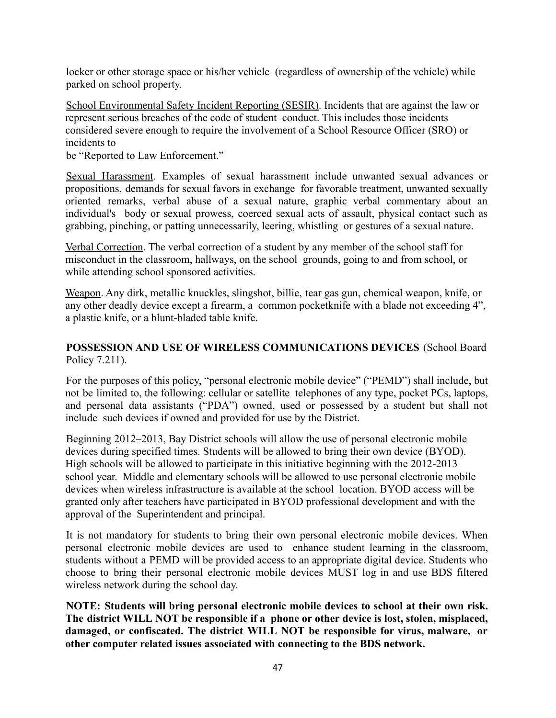locker or other storage space or his/her vehicle (regardless of ownership of the vehicle) while parked on school property.

School Environmental Safety Incident Reporting (SESIR). Incidents that are against the law or represent serious breaches of the code of student conduct. This includes those incidents considered severe enough to require the involvement of a School Resource Officer (SRO) or incidents to

be "Reported to Law Enforcement."

Sexual Harassment. Examples of sexual harassment include unwanted sexual advances or propositions, demands for sexual favors in exchange for favorable treatment, unwanted sexually oriented remarks, verbal abuse of a sexual nature, graphic verbal commentary about an individual's body or sexual prowess, coerced sexual acts of assault, physical contact such as grabbing, pinching, or patting unnecessarily, leering, whistling or gestures of a sexual nature.

Verbal Correction. The verbal correction of a student by any member of the school staff for misconduct in the classroom, hallways, on the school grounds, going to and from school, or while attending school sponsored activities.

Weapon. Any dirk, metallic knuckles, slingshot, billie, tear gas gun, chemical weapon, knife, or any other deadly device except a firearm, a common pocketknife with a blade not exceeding 4", a plastic knife, or a blunt-bladed table knife.

## **POSSESSION AND USE OF WIRELESS COMMUNICATIONS DEVICES** (School Board Policy 7.211).

For the purposes of this policy, "personal electronic mobile device" ("PEMD") shall include, but not be limited to, the following: cellular or satellite telephones of any type, pocket PCs, laptops, and personal data assistants ("PDA") owned, used or possessed by a student but shall not include such devices if owned and provided for use by the District.

Beginning 2012–2013, Bay District schools will allow the use of personal electronic mobile devices during specified times. Students will be allowed to bring their own device (BYOD). High schools will be allowed to participate in this initiative beginning with the 2012-2013 school year. Middle and elementary schools will be allowed to use personal electronic mobile devices when wireless infrastructure is available at the school location. BYOD access will be granted only after teachers have participated in BYOD professional development and with the approval of the Superintendent and principal.

It is not mandatory for students to bring their own personal electronic mobile devices. When personal electronic mobile devices are used to enhance student learning in the classroom, students without a PEMD will be provided access to an appropriate digital device. Students who choose to bring their personal electronic mobile devices MUST log in and use BDS filtered wireless network during the school day.

**NOTE: Students will bring personal electronic mobile devices to school at their own risk. The district WILL NOT be responsible if a phone or other device is lost, stolen, misplaced, damaged, or confiscated. The district WILL NOT be responsible for virus, malware, or other computer related issues associated with connecting to the BDS network.**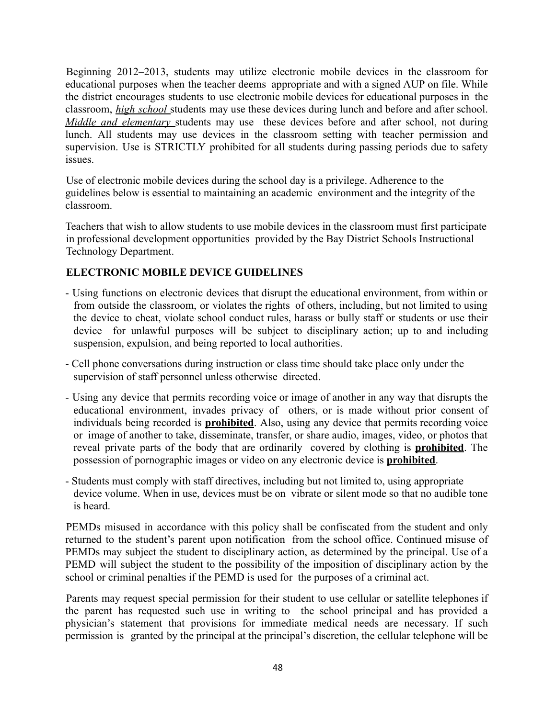Beginning 2012–2013, students may utilize electronic mobile devices in the classroom for educational purposes when the teacher deems appropriate and with a signed AUP on file. While the district encourages students to use electronic mobile devices for educational purposes in the classroom, *high school* students may use these devices during lunch and before and after school. *Middle and elementary* students may use these devices before and after school, not during lunch. All students may use devices in the classroom setting with teacher permission and supervision. Use is STRICTLY prohibited for all students during passing periods due to safety issues.

Use of electronic mobile devices during the school day is a privilege. Adherence to the guidelines below is essential to maintaining an academic environment and the integrity of the classroom.

Teachers that wish to allow students to use mobile devices in the classroom must first participate in professional development opportunities provided by the Bay District Schools Instructional Technology Department.

#### **ELECTRONIC MOBILE DEVICE GUIDELINES**

- Using functions on electronic devices that disrupt the educational environment, from within or from outside the classroom, or violates the rights of others, including, but not limited to using the device to cheat, violate school conduct rules, harass or bully staff or students or use their device for unlawful purposes will be subject to disciplinary action; up to and including suspension, expulsion, and being reported to local authorities.
- Cell phone conversations during instruction or class time should take place only under the supervision of staff personnel unless otherwise directed.
- Using any device that permits recording voice or image of another in any way that disrupts the educational environment, invades privacy of others, or is made without prior consent of individuals being recorded is **prohibited**. Also, using any device that permits recording voice or image of another to take, disseminate, transfer, or share audio, images, video, or photos that reveal private parts of the body that are ordinarily covered by clothing is **prohibited**. The possession of pornographic images or video on any electronic device is **prohibited**.
- Students must comply with staff directives, including but not limited to, using appropriate device volume. When in use, devices must be on vibrate or silent mode so that no audible tone is heard.

PEMDs misused in accordance with this policy shall be confiscated from the student and only returned to the student's parent upon notification from the school office. Continued misuse of PEMDs may subject the student to disciplinary action, as determined by the principal. Use of a PEMD will subject the student to the possibility of the imposition of disciplinary action by the school or criminal penalties if the PEMD is used for the purposes of a criminal act.

Parents may request special permission for their student to use cellular or satellite telephones if the parent has requested such use in writing to the school principal and has provided a physician's statement that provisions for immediate medical needs are necessary. If such permission is granted by the principal at the principal's discretion, the cellular telephone will be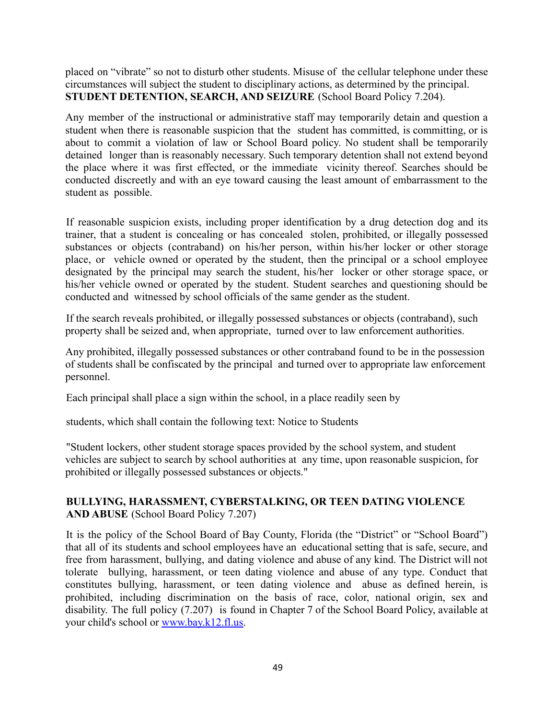placed on "vibrate" so not to disturb other students. Misuse of the cellular telephone under these circumstances will subject the student to disciplinary actions, as determined by the principal. **STUDENT DETENTION, SEARCH, AND SEIZURE** (School Board Policy 7.204).

Any member of the instructional or administrative staff may temporarily detain and question a student when there is reasonable suspicion that the student has committed, is committing, or is about to commit a violation of law or School Board policy. No student shall be temporarily detained longer than is reasonably necessary. Such temporary detention shall not extend beyond the place where it was first effected, or the immediate vicinity thereof. Searches should be conducted discreetly and with an eye toward causing the least amount of embarrassment to the student as possible.

If reasonable suspicion exists, including proper identification by a drug detection dog and its trainer, that a student is concealing or has concealed stolen, prohibited, or illegally possessed substances or objects (contraband) on his/her person, within his/her locker or other storage place, or vehicle owned or operated by the student, then the principal or a school employee designated by the principal may search the student, his/her locker or other storage space, or his/her vehicle owned or operated by the student. Student searches and questioning should be conducted and witnessed by school officials of the same gender as the student.

If the search reveals prohibited, or illegally possessed substances or objects (contraband), such property shall be seized and, when appropriate, turned over to law enforcement authorities.

Any prohibited, illegally possessed substances or other contraband found to be in the possession of students shall be confiscated by the principal and turned over to appropriate law enforcement personnel.

Each principal shall place a sign within the school, in a place readily seen by

students, which shall contain the following text: Notice to Students

"Student lockers, other student storage spaces provided by the school system, and student vehicles are subject to search by school authorities at any time, upon reasonable suspicion, for prohibited or illegally possessed substances or objects."

## **BULLYING, HARASSMENT, CYBERSTALKING, OR TEEN DATING VIOLENCE AND ABUSE** (School Board Policy 7.207)

It is the policy of the School Board of Bay County, Florida (the "District" or "School Board") that all of its students and school employees have an educational setting that is safe, secure, and free from harassment, bullying, and dating violence and abuse of any kind. The District will not tolerate bullying, harassment, or teen dating violence and abuse of any type. Conduct that constitutes bullying, harassment, or teen dating violence and abuse as defined herein, is prohibited, including discrimination on the basis of race, color, national origin, sex and disability. The full policy (7.207) is found in Chapter 7 of the School Board Policy, available at your child's school or www.bay.k12.fl.us.